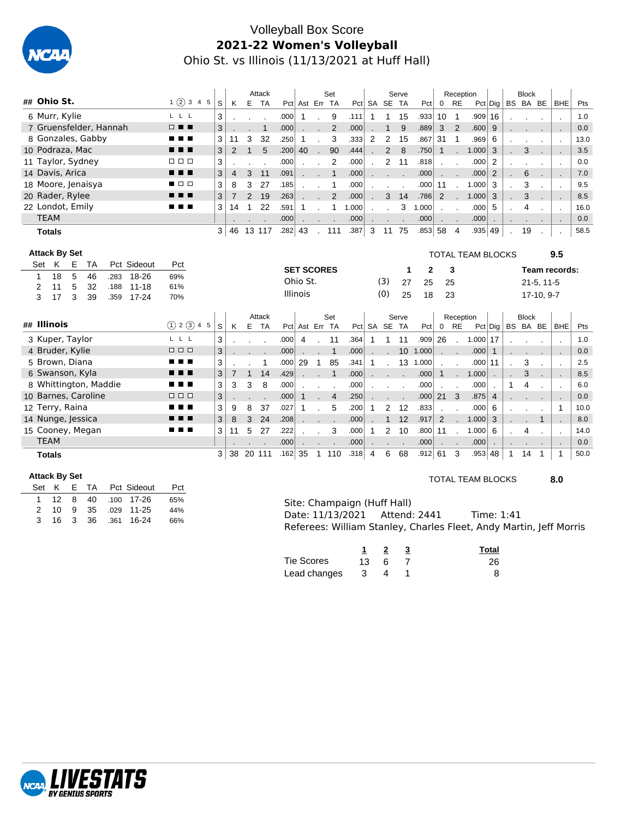

# Volleyball Box Score **2021-22 Women's Volleyball** Ohio St. vs Illinois (11/13/2021 at Huff Hall)

|                                          |                      |        |                     | Attack       |                          |                |                   |              | Set                |              |              |                | Serve           |                |                   | Reception                 |                          |                 |              | <b>Block</b> |              |                          |            |
|------------------------------------------|----------------------|--------|---------------------|--------------|--------------------------|----------------|-------------------|--------------|--------------------|--------------|--------------|----------------|-----------------|----------------|-------------------|---------------------------|--------------------------|-----------------|--------------|--------------|--------------|--------------------------|------------|
| ## Ohio St.                              | 1(2)345              | S      | K                   | E            | <b>TA</b>                |                | Pct Ast Err TA    |              |                    |              |              | Pct SA SE TA   |                 | Pct            |                   | $0$ RE                    |                          | Pct Dig         | BS BA BE     |              |              | <b>BHE</b>               | Pts        |
| 6 Murr, Kylie                            | $L$ $L$ $L$          | 3      |                     |              |                          | .000           | $\mathbf{1}$      | $\mathbf{r}$ | 9                  | .111         | $\mathbf{1}$ | 1              | 15              | .933           | 10 <sup>°</sup>   | $\overline{1}$            | $.909$ 16                |                 |              |              |              | $\cdot$                  | 1.0        |
| 7 Gruensfelder, Hannah                   | $\Box$               | 3      |                     |              | $\mathbf{1}$             | .000           |                   |              | $\overline{2}$     | .000         |              | $\mathbf{1}$   | 9               | .889           | 3                 | $\overline{2}$            | .600                     | 9               |              |              |              |                          | 0.0        |
| 8 Gonzales, Gabby                        | . .                  | 3      | 11                  | 3            | 32                       | .250           | 1                 |              | 3                  | .333         | 2            | $\overline{2}$ | 15              | .867           | 31                | $\overline{1}$            | .969                     | 6               |              |              |              | $\cdot$                  | 13.0       |
| 10 Podraza, Mac                          | . .                  | 3      | $\overline{2}$      | $\mathbf{1}$ | 5                        | .200           | 40                |              | 90                 | .444         |              | $\overline{2}$ | 8               | .750           | $\mathbf{1}$      |                           | 1.000                    | 3               |              | 3            |              |                          | 3.5        |
| 11 Taylor, Sydney                        | 8 8 8                | 3      |                     |              | $\overline{\phantom{a}}$ | .000           |                   |              | 2                  | .000         |              | 2              | 11              | .818           | $\mathbf{r}$      | $\sim$                    | .000                     | 2               |              |              |              | $\cdot$                  | 0.0        |
| 14 Davis, Arica                          |                      | 3      | $\overline{4}$      | 3            | 11                       | .091           | $\sim$ $\sim$     |              | $\mathbf{1}$       | .000         |              |                |                 | .000           |                   | $\mathbf{r} = \mathbf{r}$ | .000                     | $\overline{2}$  |              | 6            |              | $\overline{\phantom{a}}$ | 7.0        |
| 18 Moore, Jenaisya                       | $\Box$               | 3      | 8                   | 3            | 27                       | .185           |                   |              | 1                  | .000         |              |                |                 | .000           | 11                | $\overline{\phantom{a}}$  | 1.000                    | 3               |              | 3            |              | $\cdot$                  | 9.5        |
| 20 Rader, Rylee                          |                      | 3      | $\overline{7}$      | 2            | 19                       | .263           |                   |              | 2                  | .000         |              | 3              | 14              | .786           | 2                 |                           | 1.000                    | 3               |              | 3            |              | $\blacksquare$           | 8.5        |
| 22 Londot, Emily                         | .                    | 3      | 14                  | 1            | 22                       | .591           | $\mathbf{1}$      |              | $\mathbf{1}$       | 1.000        |              |                | 3               | 1.000          |                   |                           | .000                     | 5               |              | 4            |              | $\cdot$                  | 16.0       |
| <b>TEAM</b>                              |                      |        |                     |              |                          | .000           | $\sim$            | $\sim$       |                    | .000         | $\mathbf{r}$ |                |                 | .000           | $\sim$ 100 $\sim$ |                           | .000                     | $\cdot$         |              |              |              | $\cdot$                  | 0.0        |
| <b>Totals</b>                            |                      | 3      | 46                  | 13 117       |                          | $.282 \mid 43$ |                   |              | . 111              | .387         | 3            | 11 75          |                 | .853 58        |                   | $\overline{4}$            | .935 49                  |                 | $\cdot$      | 19           |              |                          | 58.5       |
|                                          |                      |        |                     |              |                          |                |                   |              |                    |              |              |                |                 |                |                   |                           |                          |                 |              |              |              |                          |            |
| <b>Attack By Set</b>                     |                      |        |                     |              |                          |                |                   |              |                    |              |              |                |                 |                |                   |                           | <b>TOTAL TEAM BLOCKS</b> |                 |              |              |              | 9.5                      |            |
| Pct Sideout<br>K<br>Ε<br>Set<br>TA       | Pct                  |        |                     |              |                          |                | <b>SET SCORES</b> |              |                    |              |              |                | 1               | 2              |                   | 3                         |                          |                 |              |              |              | Team records:            |            |
| 5<br>18<br>18-26<br>46<br>.283<br>1      | 69%                  |        |                     |              |                          |                |                   |              |                    |              |              |                |                 |                |                   |                           |                          |                 |              |              |              |                          |            |
|                                          |                      |        |                     |              |                          |                |                   |              |                    |              |              |                |                 |                |                   |                           |                          |                 |              |              |              |                          |            |
| 5<br>11<br>32<br>$11 - 18$<br>2<br>.188  | 61%                  |        |                     |              |                          |                | Ohio St.          |              |                    |              |              | (3)            | 27              | 25             |                   | 25                        |                          |                 |              |              | $21-5, 11-5$ |                          |            |
| 3<br>3<br>17<br>39<br>$17 - 24$<br>.359  | 70%                  |        |                     |              |                          |                | <b>Illinois</b>   |              |                    |              |              | (0)            | 25              | 18             |                   | 23                        |                          |                 |              |              | 17-10, 9-7   |                          |            |
|                                          |                      |        |                     |              |                          |                |                   |              |                    |              |              |                |                 |                |                   |                           |                          |                 |              |              |              |                          |            |
| ## Illinois                              | (1) 2 (3) 4 5        | S      | K                   | Attack<br>E  | <b>TA</b>                |                | Pct Ast Err TA    |              | Set                |              |              | Pct SA SE TA   | Serve           | Pct            | $\mathbf 0$       | Reception<br><b>RE</b>    |                          | $Pct  $ Dig $ $ | BS BA BE     | <b>Block</b> |              | <b>BHE</b>               | Pts        |
|                                          | L L L                |        |                     |              |                          |                |                   |              |                    |              |              |                |                 |                |                   |                           |                          |                 |              |              |              |                          |            |
| 3 Kuper, Taylor                          | $\Box$ $\Box$ $\Box$ | 3      |                     |              |                          | .000           | 4                 |              | 11<br>$\mathbf{1}$ | .364         | $\mathbf{1}$ | $\mathbf{1}$   | 11              | .909           | 26                | $\mathbf{r}$              | $1.000$ 17               | $\mathbf{1}$    |              |              |              |                          | 1.0        |
| 4 Bruder, Kylie<br>5 Brown, Diana        |                      | 3<br>3 |                     |              | 1                        | .000<br>.000   | 29                | $\mathbf{1}$ | 85                 | .000<br>.341 | 1            |                | 10 <sup>°</sup> | 1.000          |                   | $\sim 100$                | .000<br>$.000$   11      |                 |              | 3            |              | $\blacksquare$           | 0.0<br>2.5 |
|                                          |                      |        |                     | $\mathbf{1}$ |                          | .429           |                   |              | $\mathbf{1}$       | .000         |              |                |                 | 13 1.000       | $\mathbf{1}$      |                           |                          |                 |              | 3            |              | ÷,                       |            |
| 6 Swanson, Kyla<br>8 Whittington, Maddie | ■ ■                  | 3<br>3 | $\overline{7}$<br>3 | 3            | 14<br>8                  | .000           |                   |              |                    | .000         |              |                |                 | .000<br>.000   |                   |                           | 1.000<br>.000            |                 | $\mathbf{1}$ | 4            |              | $\sim$                   | 8.5<br>6.0 |
| 10 Barnes, Caroline                      | $\Box$ $\Box$ $\Box$ | 3      |                     |              |                          | .000           | $\mathbf{1}$      | $\sim$       | $\overline{4}$     | .250         |              |                |                 | .000           | 21                | 3                         | .875                     | $\overline{4}$  |              |              |              | ÷.                       | 0.0        |
| 12 Terry, Raina                          |                      | 3      | 9                   | 8            | 37                       | .027           | 1                 |              | 5                  | .200         | -1           | $\overline{2}$ | 12              | .833           |                   |                           | .000                     | 6               |              |              |              | $\overline{1}$           | 10.0       |
| 14 Nunge, Jessica                        | . .                  | 3      | 8                   | 3            | 24                       | .208           |                   |              |                    | .000         |              | $\mathbf 1$    | 12              | .917           | 2                 |                           | 1.000                    | 3               |              |              | $\mathbf{1}$ |                          | 8.0        |
| 15 Cooney, Megan                         | .                    | 3      | 11                  | 5            | 27                       | .222           |                   |              | 3                  | .000         | $\mathbf{1}$ | 2              | 10              | .800           | 11                |                           | 1.000                    | 6               |              | 4            |              | $\overline{\phantom{a}}$ | 14.0       |
| <b>TEAM</b>                              |                      |        |                     |              |                          | .000           |                   |              |                    | .000         |              |                |                 | .000           | $\mathbf{r}$      | $\sim$                    | .000                     | $\cdot$         |              |              |              |                          | 0.0        |
| <b>Totals</b>                            |                      | 3      | 38                  | 20 111       |                          | $.162 \mid 35$ |                   |              | 1 110              | .318         | 4            | 6              | 68              | $.912 \mid 61$ |                   | 3                         | $.953 \,   \, 48$        |                 | -1           | 14           |              | -1                       | 50.0       |

### **Attack By Set**

|     |  |  | Set K E TA Pct Sideout | Pct |
|-----|--|--|------------------------|-----|
|     |  |  | 1 12 8 40 .100 17-26   | 65% |
|     |  |  | 2 10 9 35 .029 11-25   | 44% |
| -3- |  |  | 16 3 36 361 16-24      | 66% |

### TOTAL TEAM BLOCKS **8.0**

| Site: Champaign (Huff Hall)   |                                                                    |  |
|-------------------------------|--------------------------------------------------------------------|--|
| Date: 11/13/2021 Attend: 2441 | Time: 1:41                                                         |  |
|                               | Referees: William Stanley, Charles Fleet, Andy Martin, Jeff Morris |  |

|                |              |   | Total |
|----------------|--------------|---|-------|
| Tie Scores     | $13 \quad 6$ |   | 26    |
| Lead changes 3 |              | 4 |       |

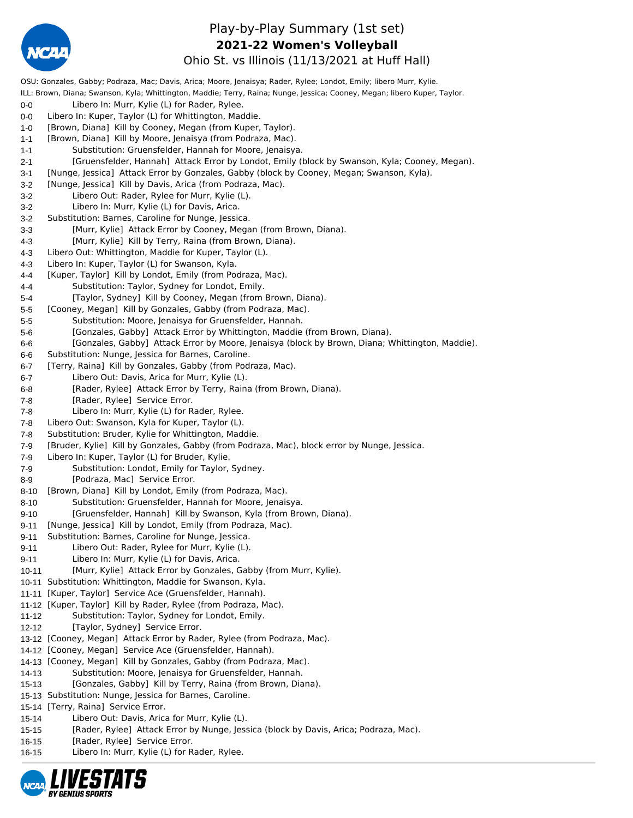

## Play-by-Play Summary (1st set) **2021-22 Women's Volleyball**

Ohio St. vs Illinois (11/13/2021 at Huff Hall)

OSU: Gonzales, Gabby; Podraza, Mac; Davis, Arica; Moore, Jenaisya; Rader, Rylee; Londot, Emily; libero Murr, Kylie. ILL: Brown, Diana; Swanson, Kyla; Whittington, Maddie; Terry, Raina; Nunge, Jessica; Cooney, Megan; libero Kuper, Taylor. 0-0 Libero In: Murr, Kylie (L) for Rader, Rylee. 0-0 Libero In: Kuper, Taylor (L) for Whittington, Maddie. 1-0 [Brown, Diana] Kill by Cooney, Megan (from Kuper, Taylor). 1-1 [Brown, Diana] Kill by Moore, Jenaisya (from Podraza, Mac). 1-1 Substitution: Gruensfelder, Hannah for Moore, Jenaisya. 2-1 [Gruensfelder, Hannah] Attack Error by Londot, Emily (block by Swanson, Kyla; Cooney, Megan). 3-1 [Nunge, Jessica] Attack Error by Gonzales, Gabby (block by Cooney, Megan; Swanson, Kyla). 3-2 [Nunge, Jessica] Kill by Davis, Arica (from Podraza, Mac). 3-2 Libero Out: Rader, Rylee for Murr, Kylie (L). 3-2 Libero In: Murr, Kylie (L) for Davis, Arica. 3-2 Substitution: Barnes, Caroline for Nunge, Jessica. 3-3 [Murr, Kylie] Attack Error by Cooney, Megan (from Brown, Diana). 4-3 [Murr, Kylie] Kill by Terry, Raina (from Brown, Diana). 4-3 Libero Out: Whittington, Maddie for Kuper, Taylor (L). 4-3 Libero In: Kuper, Taylor (L) for Swanson, Kyla. 4-4 [Kuper, Taylor] Kill by Londot, Emily (from Podraza, Mac). 4-4 Substitution: Taylor, Sydney for Londot, Emily. 5-4 [Taylor, Sydney] Kill by Cooney, Megan (from Brown, Diana). 5-5 [Cooney, Megan] Kill by Gonzales, Gabby (from Podraza, Mac). 5-5 Substitution: Moore, Jenaisya for Gruensfelder, Hannah. 5-6 [Gonzales, Gabby] Attack Error by Whittington, Maddie (from Brown, Diana). 6-6 [Gonzales, Gabby] Attack Error by Moore, Jenaisya (block by Brown, Diana; Whittington, Maddie). 6-6 Substitution: Nunge, Jessica for Barnes, Caroline. 6-7 [Terry, Raina] Kill by Gonzales, Gabby (from Podraza, Mac). 6-7 Libero Out: Davis, Arica for Murr, Kylie (L). 6-8 [Rader, Rylee] Attack Error by Terry, Raina (from Brown, Diana). 7-8 [Rader, Rylee] Service Error. 7-8 Libero In: Murr, Kylie (L) for Rader, Rylee. 7-8 Libero Out: Swanson, Kyla for Kuper, Taylor (L). 7-8 Substitution: Bruder, Kylie for Whittington, Maddie. 7-9 [Bruder, Kylie] Kill by Gonzales, Gabby (from Podraza, Mac), block error by Nunge, Jessica. 7-9 Libero In: Kuper, Taylor (L) for Bruder, Kylie. 7-9 Substitution: Londot, Emily for Taylor, Sydney. 8-9 [Podraza, Mac] Service Error. 8-10 [Brown, Diana] Kill by Londot, Emily (from Podraza, Mac). 8-10 Substitution: Gruensfelder, Hannah for Moore, Jenaisya. 9-10 [Gruensfelder, Hannah] Kill by Swanson, Kyla (from Brown, Diana). 9-11 [Nunge, Jessica] Kill by Londot, Emily (from Podraza, Mac). 9-11 Substitution: Barnes, Caroline for Nunge, Jessica. 9-11 Libero Out: Rader, Rylee for Murr, Kylie (L). 9-11 Libero In: Murr, Kylie (L) for Davis, Arica. 10-11 [Murr, Kylie] Attack Error by Gonzales, Gabby (from Murr, Kylie). 10-11 Substitution: Whittington, Maddie for Swanson, Kyla. 11-11 [Kuper, Taylor] Service Ace (Gruensfelder, Hannah). 11-12 [Kuper, Taylor] Kill by Rader, Rylee (from Podraza, Mac). 11-12 Substitution: Taylor, Sydney for Londot, Emily. 12-12 [Taylor, Sydney] Service Error. 13-12 [Cooney, Megan] Attack Error by Rader, Rylee (from Podraza, Mac). 14-12 [Cooney, Megan] Service Ace (Gruensfelder, Hannah). 14-13 [Cooney, Megan] Kill by Gonzales, Gabby (from Podraza, Mac). 14-13 Substitution: Moore, Jenaisya for Gruensfelder, Hannah. 15-13 [Gonzales, Gabby] Kill by Terry, Raina (from Brown, Diana). 15-13 Substitution: Nunge, Jessica for Barnes, Caroline. 15-14 [Terry, Raina] Service Error. 15-14 Libero Out: Davis, Arica for Murr, Kylie (L). 15-15 [Rader, Rylee] Attack Error by Nunge, Jessica (block by Davis, Arica; Podraza, Mac). 16-15 [Rader, Rylee] Service Error. 16-15 Libero In: Murr, Kylie (L) for Rader, Rylee.

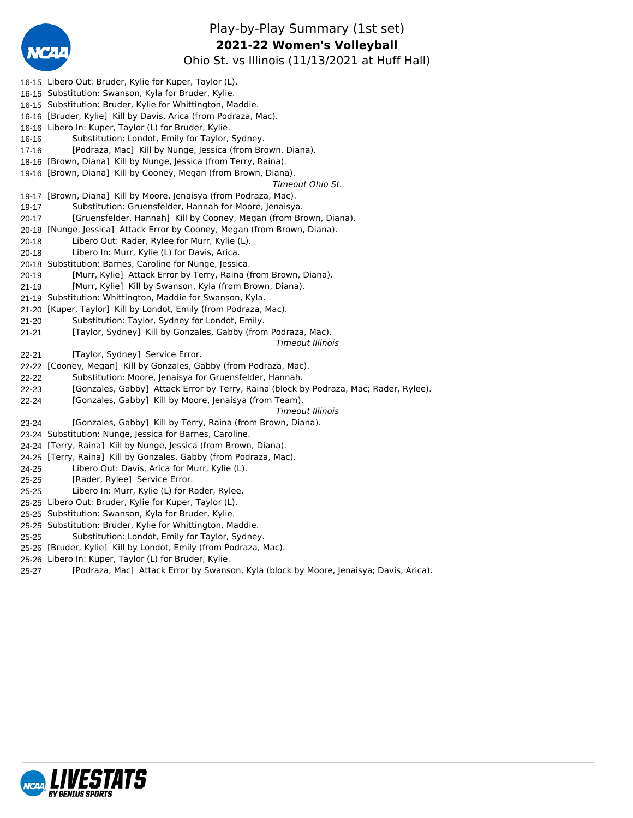

# Play-by-Play Summary (1st set) Ohio St. vs Illinois (11/13/2021 at Huff Hall) **2021-22 Women's Volleyball**

|           | 16-15 Libero Out: Bruder, Kylie for Kuper, Taylor (L).                                |
|-----------|---------------------------------------------------------------------------------------|
|           | 16-15 Substitution: Swanson, Kyla for Bruder, Kylie.                                  |
|           | 16-15 Substitution: Bruder, Kylie for Whittington, Maddie.                            |
|           | 16-16 [Bruder, Kylie] Kill by Davis, Arica (from Podraza, Mac).                       |
|           | 16-16 Libero In: Kuper, Taylor (L) for Bruder, Kylie.                                 |
| 16-16     | Substitution: Londot, Emily for Taylor, Sydney.                                       |
| $17 - 16$ | [Podraza, Mac] Kill by Nunge, Jessica (from Brown, Diana).                            |
|           | 18-16 [Brown, Diana] Kill by Nunge, Jessica (from Terry, Raina).                      |
|           | 19-16 [Brown, Diana] Kill by Cooney, Megan (from Brown, Diana).                       |
|           | Timeout Ohio St.                                                                      |
|           | 19-17 [Brown, Diana] Kill by Moore, Jenaisya (from Podraza, Mac).                     |
| 19-17     | Substitution: Gruensfelder, Hannah for Moore, Jenaisya.                               |
| $20 - 17$ | [Gruensfelder, Hannah] Kill by Cooney, Megan (from Brown, Diana).                     |
|           | 20-18 [Nunge, Jessica] Attack Error by Cooney, Megan (from Brown, Diana).             |
| 20-18     | Libero Out: Rader, Rylee for Murr, Kylie (L).                                         |
| 20-18     | Libero In: Murr, Kylie (L) for Davis, Arica.                                          |
|           | 20-18 Substitution: Barnes, Caroline for Nunge, Jessica.                              |
| $20 - 19$ | [Murr, Kylie] Attack Error by Terry, Raina (from Brown, Diana).                       |
| $21 - 19$ | [Murr, Kylie] Kill by Swanson, Kyla (from Brown, Diana).                              |
|           | 21-19 Substitution: Whittington, Maddie for Swanson, Kyla.                            |
|           | 21-20 [Kuper, Taylor] Kill by Londot, Emily (from Podraza, Mac).                      |
| $21 - 20$ | Substitution: Taylor, Sydney for Londot, Emily.                                       |
| $21 - 21$ | [Taylor, Sydney] Kill by Gonzales, Gabby (from Podraza, Mac).                         |
|           | Timeout Illinois                                                                      |
| $22 - 21$ | [Taylor, Sydney] Service Error.                                                       |
|           | 22-22 [Cooney, Megan] Kill by Gonzales, Gabby (from Podraza, Mac).                    |
| 22-22     | Substitution: Moore, Jenaisya for Gruensfelder, Hannah.                               |
| $22 - 23$ | [Gonzales, Gabby] Attack Error by Terry, Raina (block by Podraza, Mac; Rader, Rylee). |
| $22 - 24$ | [Gonzales, Gabby] Kill by Moore, Jenaisya (from Team).                                |
|           | Timeout Illinois                                                                      |
| 23-24     | [Gonzales, Gabby] Kill by Terry, Raina (from Brown, Diana).                           |
|           | 23-24 Substitution: Nunge, Jessica for Barnes, Caroline.                              |
|           | 24-24 [Terry, Raina] Kill by Nunge, Jessica (from Brown, Diana).                      |
|           | 24-25 [Terry, Raina] Kill by Gonzales, Gabby (from Podraza, Mac).                     |
| 24-25     | Libero Out: Davis, Arica for Murr, Kylie (L).                                         |
| $25 - 25$ | [Rader, Rylee] Service Error.                                                         |
| $25 - 25$ | Libero In: Murr, Kylie (L) for Rader, Rylee.                                          |
|           | 25-25 Libero Out: Bruder, Kylie for Kuper, Taylor (L).                                |
|           | 25-25 Substitution: Swanson, Kyla for Bruder, Kylie.                                  |
|           | 25-25 Substitution: Bruder, Kylie for Whittington, Maddie.                            |
| $25 - 25$ | Substitution: Londot, Emily for Taylor, Sydney.                                       |
|           | 25-26 [Bruder, Kylie] Kill by Londot, Emily (from Podraza, Mac).                      |
|           | 25-26 Libero In: Kuper, Taylor (L) for Bruder, Kylie.                                 |
|           |                                                                                       |

25-27 [Podraza, Mac] Attack Error by Swanson, Kyla (block by Moore, Jenaisya; Davis, Arica).

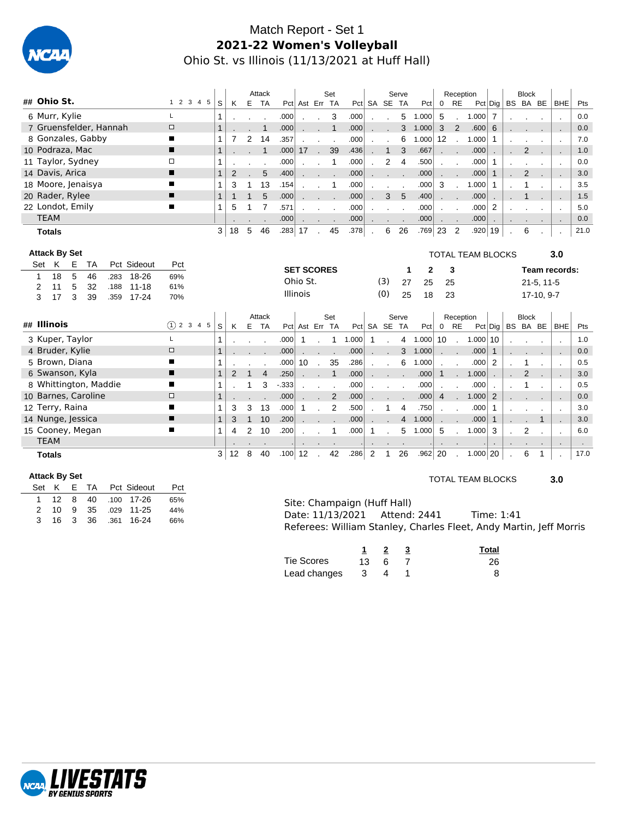

# Match Report - Set 1 **2021-22 Women's Volleyball** Ohio St. vs Illinois (11/13/2021 at Huff Hall)

|                                                  |                  |                |              | Attack         |            |                   |              | Set            |       |                |              | Serve          |              |                | Reception              |                          |                 | <b>Block</b>   |              |                          |        |
|--------------------------------------------------|------------------|----------------|--------------|----------------|------------|-------------------|--------------|----------------|-------|----------------|--------------|----------------|--------------|----------------|------------------------|--------------------------|-----------------|----------------|--------------|--------------------------|--------|
| ## Ohio St.                                      | 1 2 3 4 5<br>S   | K              |              | E TA           |            | Pct Ast Err TA    |              |                |       |                | Pct SA SE TA |                | Pct          |                | $0$ RE                 |                          | $Pct  $ Dig $ $ | BS BA BE       |              | BHE                      | Pts    |
| 6 Murr, Kylie<br>L                               | 1                |                |              |                | .000       |                   |              | 3              | .000  |                |              | 5              | 1.000        | 5              |                        | 1.000                    | 7               |                |              | $\cdot$                  | 0.0    |
| 7 Gruensfelder, Hannah<br>$\Box$                 |                  |                |              | 1              | .000       |                   |              | $\mathbf{1}$   | .000  |                |              | 3              | 1.000        | 3              | $\overline{2}$         | .600                     | 6               |                |              | ÷.                       | 0.0    |
| 8 Gonzales, Gabby<br>п                           | 1                | 7              | 2            | 14             | .357       |                   |              |                | .000  |                |              | 6              | 1.000        | 12             |                        | 1.000                    | 1               |                |              | $\cdot$                  | 7.0    |
| 10 Podraza, Mac<br>п                             |                  |                |              | $\mathbf{1}$   | .000       | 17                | $\sqrt{2}$   | 39             | .436  |                | $\mathbf{1}$ | 3              | .667         |                |                        | .000                     |                 | $\overline{2}$ |              | $\overline{a}$           | 1.0    |
| 11 Taylor, Sydney<br>□                           | 1                |                |              |                | .000       |                   |              | $\mathbf{1}$   | .000  |                | 2            | 4              | .500         | $\mathbf{r}$   |                        | .000                     | $\mathbf{1}$    |                |              | $\cdot$                  | 0.0    |
| 14 Davis, Arica                                  | 1                | $\overline{2}$ |              | 5              | .400       |                   |              |                | .000  |                |              |                | .000         |                |                        | .000                     | $\mathbf{1}$    | 2              |              | ÷,                       | 3.0    |
| 18 Moore, Jenaisya<br>П                          | 1                | 3              | 1            | 13             | .154       |                   |              | 1              | .000  |                |              |                | .000         | 3              | $\sim$                 | 1.000                    | 1               |                |              | $\overline{\phantom{a}}$ | 3.5    |
| 20 Rader, Rylee<br>п                             | 1                | $\mathbf{1}$   | $\mathbf{1}$ | 5              | .000       |                   |              |                | .000  |                | 3            | 5              | .400         |                |                        | .000                     |                 |                |              |                          | 1.5    |
| 22 Londot, Emily                                 | 1                | 5              |              | 7              | .571       |                   |              |                | .000  |                |              |                | .000         |                |                        | .000                     | 2               |                |              | $\cdot$                  | 5.0    |
| <b>TEAM</b>                                      |                  |                |              |                | .000       |                   |              |                | .000  |                |              |                | .000         |                |                        | .000                     |                 |                |              | $\cdot$                  | 0.0    |
| <b>Totals</b>                                    |                  | 3<br>18        | 5            | 46             | $.283 $ 17 |                   |              | 45             | .378  | $\cdot$        | 6            | 26             | .769         | 23             | $\overline{2}$         | .920 19                  |                 | 6              |              | $\cdot$                  | 21.0   |
|                                                  |                  |                |              |                |            |                   |              |                |       |                |              |                |              |                |                        |                          |                 |                |              |                          |        |
| <b>Attack By Set</b>                             |                  |                |              |                |            |                   |              |                |       |                |              |                |              |                |                        | <b>TOTAL TEAM BLOCKS</b> |                 |                |              | 3.0                      |        |
| K<br>Pct Sideout<br>Ε<br><b>TA</b><br>Set<br>Pct |                  |                |              |                |            | <b>SET SCORES</b> |              |                |       |                |              | 1              | $\mathbf{2}$ |                | 3                      |                          |                 |                |              | Team records:            |        |
| 18<br>5<br>18-26<br>46<br>69%<br>.283<br>1       |                  |                |              |                |            | Ohio St.          |              |                |       |                | (3)          | 27             | 25           | 25             |                        |                          |                 |                | $21-5, 11-5$ |                          |        |
| 5<br>$11 - 18$<br>11<br>32<br>61%<br>2<br>.188   |                  |                |              |                |            | <b>Illinois</b>   |              |                |       |                |              |                |              |                |                        |                          |                 |                |              |                          |        |
| 3<br>3<br>17<br>39<br>$17 - 24$<br>.359<br>70%   |                  |                |              |                |            |                   |              |                |       |                | (0)          | 25             | 18           | 23             |                        |                          |                 |                | 17-10, 9-7   |                          |        |
|                                                  |                  |                |              | Attack         |            |                   |              | Set            |       |                |              | Serve          |              |                |                        |                          |                 | <b>Block</b>   |              |                          |        |
| ## Illinois                                      | (1) 2 3 4 5<br>S | K              | E            | TA             |            | Pct Ast Err TA    |              |                |       |                | Pct SA SE TA |                | Pct          | $\mathbf 0$    | Reception<br><b>RE</b> |                          | $Pct  $ Dig $ $ | BS BA BE       |              | <b>BHE</b>               | Pts    |
| 3 Kuper, Taylor<br>L                             |                  |                |              |                | .000       | $\mathbf{1}$      |              | 1              | 1.000 | $\mathbf{1}$   |              | 4              | 1.000        | 10             | $\sim$                 | 1.000 10                 |                 |                |              |                          | 1.0    |
| 4 Bruder, Kylie<br>$\Box$                        |                  |                |              |                | .000       |                   |              |                | .000  |                |              | 3              | 1.000        |                |                        | .000                     | $\mathbf{1}$    |                |              |                          | 0.0    |
| 5 Brown, Diana                                   |                  |                |              |                | .000       | 10                |              | 35             | .286  |                |              | 6              | 1.000        |                |                        | .000                     | 2               |                |              | J.                       | 0.5    |
| 6 Swanson, Kyla<br>п                             | $\mathbf{1}$     | $\overline{2}$ |              | $\overline{4}$ | .250       |                   |              | $\mathbf{1}$   | .000  |                |              |                | .000         | $\mathbf{1}$   |                        | 1.000                    |                 | $\overline{2}$ |              |                          | 3.0    |
| 8 Whittington, Maddie<br>П                       | 1                |                |              | 3              | $-333$     |                   |              |                | .000  |                |              |                | .000         |                |                        | .000                     |                 |                |              | $\cdot$                  | 0.5    |
| 10 Barnes, Caroline<br>$\Box$                    |                  |                |              |                | .000       |                   | $\mathbf{r}$ | $\overline{2}$ | .000  |                |              |                | .000         | $\overline{4}$ |                        | 1.000                    | 2               |                |              | $\overline{\phantom{a}}$ | 0.0    |
| 12 Terry, Raina<br>■                             | 1                | 3              | 3            | 13             | .000       | 1                 |              | 2              | .500  |                |              | 4              | .750         |                |                        | .000                     | $\mathbf{1}$    |                |              | $\overline{\phantom{a}}$ | 3.0    |
| 14 Nunge, Jessica<br>п                           | $\mathbf{1}$     | 3              | 1            | 10             | .200       |                   |              |                | .000  |                |              | $\overline{4}$ | 1.000        |                |                        | .000                     | $\mathbf{1}$    |                | 1            | $\blacksquare$           | 3.0    |
| 15 Cooney, Megan                                 | 1                | 4              | 2            | 10             | .200       |                   |              |                | .000  | $\mathbf{1}$   |              | 5              | 1.000        | 5              |                        | 1.000                    | 3               | 2              |              |                          | 6.0    |
| <b>TEAM</b>                                      |                  |                |              |                |            |                   |              |                |       |                |              |                |              |                |                        |                          |                 |                |              | $\cdot$                  | $\sim$ |
| <b>Totals</b>                                    | 3                | 12             | 8            | 40             | .100       | 12                |              | 42             | .286  | $\overline{2}$ | $\mathbf 1$  | 26             | .962         | 20             |                        | $1.000$ 20               |                 | 6              | 1            |                          | 17.0   |

#### **Attack By Set**

 $\overline{a}$ 

|  |  |                      | Set K E TA Pct Sideout | Pct |
|--|--|----------------------|------------------------|-----|
|  |  |                      |                        | 65% |
|  |  |                      | 2 10 9 35 029 11-25    | 44% |
|  |  | 3 16 3 36 .361 16-24 |                        | 66% |
|  |  |                      |                        |     |

### TOTAL TEAM BLOCKS **3.0**

| Site: Champaign (Huff Hall)   |                                                                    |  |
|-------------------------------|--------------------------------------------------------------------|--|
| Date: 11/13/2021 Attend: 2441 | Time: 1:41                                                         |  |
|                               | Referees: William Stanley, Charles Fleet, Andy Martin, Jeff Morris |  |

|              |          |     | Total |
|--------------|----------|-----|-------|
| Tie Scores   | $13 -$   | - 6 | 26    |
| Lead changes | $\sim$ 3 |     |       |

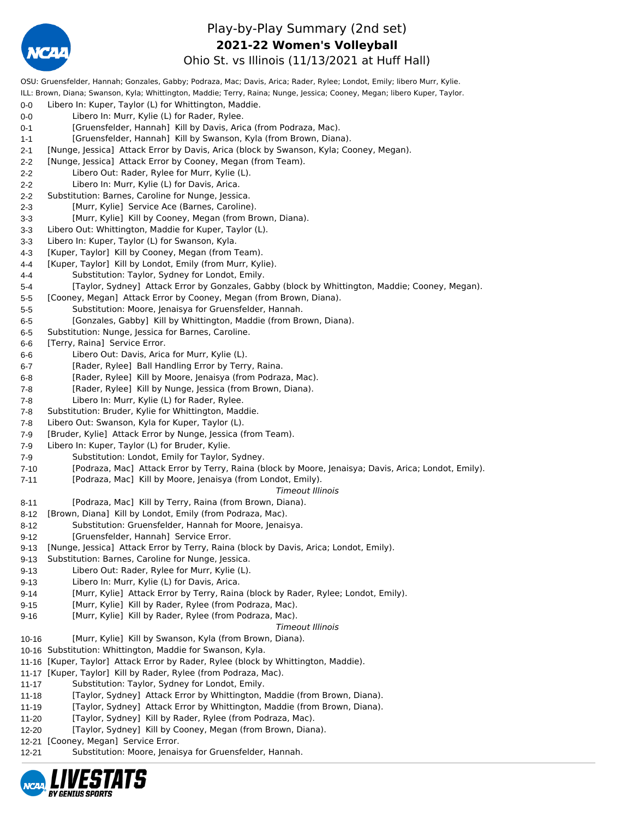

## Play-by-Play Summary (2nd set) **2021-22 Women's Volleyball**

Ohio St. vs Illinois (11/13/2021 at Huff Hall)

OSU: Gruensfelder, Hannah; Gonzales, Gabby; Podraza, Mac; Davis, Arica; Rader, Rylee; Londot, Emily; libero Murr, Kylie. ILL: Brown, Diana; Swanson, Kyla; Whittington, Maddie; Terry, Raina; Nunge, Jessica; Cooney, Megan; libero Kuper, Taylor. 0-0 Libero In: Kuper, Taylor (L) for Whittington, Maddie. 0-0 Libero In: Murr, Kylie (L) for Rader, Rylee. 0-1 [Gruensfelder, Hannah] Kill by Davis, Arica (from Podraza, Mac). 1-1 [Gruensfelder, Hannah] Kill by Swanson, Kyla (from Brown, Diana). 2-1 [Nunge, Jessica] Attack Error by Davis, Arica (block by Swanson, Kyla; Cooney, Megan). 2-2 [Nunge, Jessica] Attack Error by Cooney, Megan (from Team). 2-2 Libero Out: Rader, Rylee for Murr, Kylie (L). 2-2 Libero In: Murr, Kylie (L) for Davis, Arica. 2-2 Substitution: Barnes, Caroline for Nunge, Jessica. 2-3 [Murr, Kylie] Service Ace (Barnes, Caroline). 3-3 [Murr, Kylie] Kill by Cooney, Megan (from Brown, Diana). 3-3 Libero Out: Whittington, Maddie for Kuper, Taylor (L). 3-3 Libero In: Kuper, Taylor (L) for Swanson, Kyla. 4-3 [Kuper, Taylor] Kill by Cooney, Megan (from Team). 4-4 [Kuper, Taylor] Kill by Londot, Emily (from Murr, Kylie). 4-4 Substitution: Taylor, Sydney for Londot, Emily. 5-4 [Taylor, Sydney] Attack Error by Gonzales, Gabby (block by Whittington, Maddie; Cooney, Megan). 5-5 [Cooney, Megan] Attack Error by Cooney, Megan (from Brown, Diana). 5-5 Substitution: Moore, Jenaisya for Gruensfelder, Hannah. 6-5 [Gonzales, Gabby] Kill by Whittington, Maddie (from Brown, Diana). 6-5 Substitution: Nunge, Jessica for Barnes, Caroline. 6-6 [Terry, Raina] Service Error. 6-6 Libero Out: Davis, Arica for Murr, Kylie (L). 6-7 [Rader, Rylee] Ball Handling Error by Terry, Raina. 6-8 [Rader, Rylee] Kill by Moore, Jenaisya (from Podraza, Mac). 7-8 [Rader, Rylee] Kill by Nunge, Jessica (from Brown, Diana). 7-8 Libero In: Murr, Kylie (L) for Rader, Rylee. 7-8 Substitution: Bruder, Kylie for Whittington, Maddie. 7-8 Libero Out: Swanson, Kyla for Kuper, Taylor (L). 7-9 [Bruder, Kylie] Attack Error by Nunge, Jessica (from Team). 7-9 Libero In: Kuper, Taylor (L) for Bruder, Kylie. 7-9 Substitution: Londot, Emily for Taylor, Sydney. 7-10 [Podraza, Mac] Attack Error by Terry, Raina (block by Moore, Jenaisya; Davis, Arica; Londot, Emily). 7-11 [Podraza, Mac] Kill by Moore, Jenaisya (from Londot, Emily). *Timeout Illinois* 8-11 [Podraza, Mac] Kill by Terry, Raina (from Brown, Diana). 8-12 [Brown, Diana] Kill by Londot, Emily (from Podraza, Mac). 8-12 Substitution: Gruensfelder, Hannah for Moore, Jenaisya. 9-12 [Gruensfelder, Hannah] Service Error. 9-13 [Nunge, Jessica] Attack Error by Terry, Raina (block by Davis, Arica; Londot, Emily). 9-13 Substitution: Barnes, Caroline for Nunge, Jessica. 9-13 Libero Out: Rader, Rylee for Murr, Kylie (L). 9-13 Libero In: Murr, Kylie (L) for Davis, Arica. 9-14 [Murr, Kylie] Attack Error by Terry, Raina (block by Rader, Rylee; Londot, Emily). 9-15 [Murr, Kylie] Kill by Rader, Rylee (from Podraza, Mac). 9-16 [Murr, Kylie] Kill by Rader, Rylee (from Podraza, Mac). *Timeout Illinois* 10-16 [Murr, Kylie] Kill by Swanson, Kyla (from Brown, Diana). 10-16 Substitution: Whittington, Maddie for Swanson, Kyla. 11-16 [Kuper, Taylor] Attack Error by Rader, Rylee (block by Whittington, Maddie). 11-17 [Kuper, Taylor] Kill by Rader, Rylee (from Podraza, Mac). 11-17 Substitution: Taylor, Sydney for Londot, Emily. 11-18 [Taylor, Sydney] Attack Error by Whittington, Maddie (from Brown, Diana). 11-19 [Taylor, Sydney] Attack Error by Whittington, Maddie (from Brown, Diana). 11-20 [Taylor, Sydney] Kill by Rader, Rylee (from Podraza, Mac). 12-20 [Taylor, Sydney] Kill by Cooney, Megan (from Brown, Diana). 12-21 [Cooney, Megan] Service Error. 12-21 Substitution: Moore, Jenaisya for Gruensfelder, Hannah.

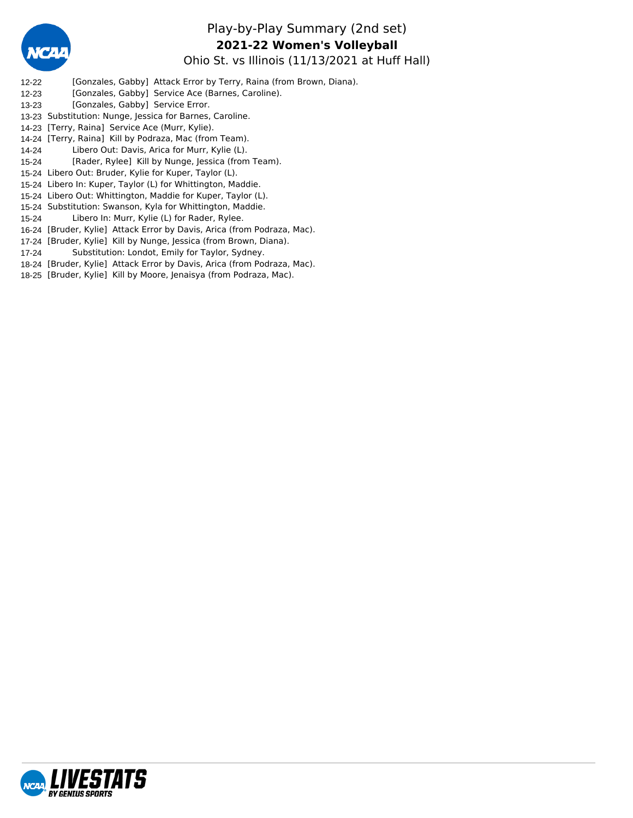

## Play-by-Play Summary (2nd set) Ohio St. vs Illinois (11/13/2021 at Huff Hall) **2021-22 Women's Volleyball**

- 12-22 [Gonzales, Gabby] Attack Error by Terry, Raina (from Brown, Diana).
- 12-23 [Gonzales, Gabby] Service Ace (Barnes, Caroline).
- 13-23 [Gonzales, Gabby] Service Error.
- 13-23 Substitution: Nunge, Jessica for Barnes, Caroline.
- 14-23 [Terry, Raina] Service Ace (Murr, Kylie).
- 14-24 [Terry, Raina] Kill by Podraza, Mac (from Team).
- 14-24 Libero Out: Davis, Arica for Murr, Kylie (L).
- 15-24 [Rader, Rylee] Kill by Nunge, Jessica (from Team).
- 15-24 Libero Out: Bruder, Kylie for Kuper, Taylor (L).
- 15-24 Libero In: Kuper, Taylor (L) for Whittington, Maddie.
- 15-24 Libero Out: Whittington, Maddie for Kuper, Taylor (L).
- 15-24 Substitution: Swanson, Kyla for Whittington, Maddie.
- 15-24 Libero In: Murr, Kylie (L) for Rader, Rylee.
- 16-24 [Bruder, Kylie] Attack Error by Davis, Arica (from Podraza, Mac).
- 17-24 [Bruder, Kylie] Kill by Nunge, Jessica (from Brown, Diana).
- 17-24 Substitution: Londot, Emily for Taylor, Sydney.
- 18-24 [Bruder, Kylie] Attack Error by Davis, Arica (from Podraza, Mac).
- 18-25 [Bruder, Kylie] Kill by Moore, Jenaisya (from Podraza, Mac).

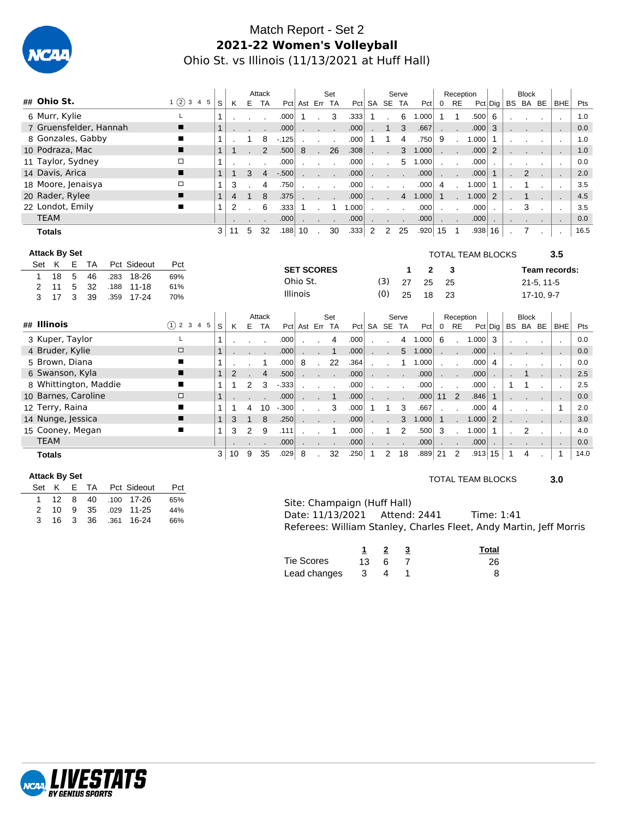

# Match Report - Set 2 **2021-22 Women's Volleyball** Ohio St. vs Illinois (11/13/2021 at Huff Hall)

|                                                  |              |                |                | Attack         |          |                   |                | Set          |       |                |                | Serve          |              |               | Reception                |                          |                |              | <b>Block</b>          |              |                            |      |
|--------------------------------------------------|--------------|----------------|----------------|----------------|----------|-------------------|----------------|--------------|-------|----------------|----------------|----------------|--------------|---------------|--------------------------|--------------------------|----------------|--------------|-----------------------|--------------|----------------------------|------|
| ## Ohio St.<br>1(2)345                           | S            | K              |                | E TA           |          | Pct Ast Err TA    |                |              |       |                | Pct SA SE TA   |                | Pct          | 0 RE          |                          |                          |                |              | $Pct $ Dig   BS BA BE |              | BHE                        | Pts  |
| 6 Murr, Kylie<br>L                               | 1            |                |                |                | .000     | 1                 |                | 3            | .333  | 1              |                | 6              | 1.000        | $\mathbf{1}$  | $\mathbf 1$              | .500                     | 6              |              |                       |              | $\blacksquare$             | 1.0  |
| 7 Gruensfelder, Hannah<br>п                      | 1            |                |                |                | .000     |                   |                |              | .000  |                | 1              | 3              | .667         |               |                          | .000                     | 3              |              |                       |              | ÷.                         | 0.0  |
| 8 Gonzales, Gabby<br>∎                           | 1            |                | 1              | 8              | $-125$   |                   |                |              | .000  | 1              | 1              | 4              | .750         | 9             |                          | 1.000                    | 1              |              |                       |              | $\blacksquare$             | 1.0  |
| 10 Podraza, Mac<br>▬                             | $\mathbf{1}$ | $\mathbf 1$    |                | $\overline{2}$ | .500     | 8                 | $\sim$         | 26           | .308  |                |                | 3              | 1.000        | $\sim$ $\sim$ |                          | .000                     | 2              |              |                       |              | $\blacksquare$             | 1.0  |
| $\Box$<br>11 Taylor, Sydney                      | 1            |                |                |                | .000     |                   | $\blacksquare$ |              | .000  |                |                | 5              | 1.000        |               |                          | .000                     |                |              |                       |              | $\mathbf{r}$               | 0.0  |
| 14 Davis, Arica<br>■                             | $\mathbf{1}$ | $\mathbf{1}$   | 3              | $\overline{4}$ | $-0.500$ |                   |                |              | .000  |                |                |                | .000         |               |                          | .000                     | $\mathbf{1}$   |              | 2                     |              | $\mathcal{L}_{\mathbf{r}}$ | 2.0  |
| 18 Moore, Jenaisya<br>$\Box$                     | 1            | 3              |                | 4              | .750     |                   |                |              | .000  |                |                |                | .000         | 4             |                          | 1.000                    | 1              |              | 1                     |              | $\blacksquare$             | 3.5  |
| 20 Rader, Rylee<br>п                             | $\mathbf{1}$ | $\overline{4}$ | $\mathbf{1}$   | 8              | .375     |                   | ÷.             |              | .000  |                |                | $\overline{4}$ | 1.000        | $\mathbf{1}$  | $\overline{a}$           | 1.000                    | $\overline{2}$ |              |                       |              |                            | 4.5  |
| 22 Londot, Emily<br>■                            | 1            | 2              |                | 6              | .333     | 1                 |                | $\mathbf{1}$ | 1.000 |                |                |                | .000         |               |                          | .000                     |                |              | 3                     |              | $\mathcal{L}_{\mathbf{z}}$ | 3.5  |
| <b>TEAM</b>                                      |              |                |                |                | .000     |                   |                |              | .000  |                |                |                | .000         |               |                          | .000                     |                |              |                       |              | $\blacksquare$             | 0.0  |
| <b>Totals</b>                                    | 3            | 11             | 5              | 32             | .188     | 10                |                | 30           | .333  | $\overline{2}$ | 2              | 25             | .920         | 15            | $\overline{\phantom{0}}$ | $.938 \,   \, 16$        |                | $\cdot$      | 7                     |              | $\blacksquare$             | 16.5 |
|                                                  |              |                |                |                |          |                   |                |              |       |                |                |                |              |               |                          |                          |                |              |                       |              |                            |      |
| <b>Attack By Set</b>                             |              |                |                |                |          |                   |                |              |       |                |                |                |              |               |                          | <b>TOTAL TEAM BLOCKS</b> |                |              |                       |              | 3.5                        |      |
| K<br>Е<br>Pct Sideout<br>Set<br><b>TA</b><br>Pct |              |                |                |                |          | <b>SET SCORES</b> |                |              |       |                |                | 1              | $\mathbf{2}$ |               | 3                        |                          |                |              |                       |              | Team records:              |      |
| 5<br>18<br>18-26<br>46<br>.283<br>69%<br>1       |              |                |                |                |          | Ohio St.          |                |              |       |                | (3)            | 27             | 25           | 25            |                          |                          |                |              |                       | $21-5, 11-5$ |                            |      |
| 5<br>11<br>32<br>$11 - 18$<br>61%<br>2<br>.188   |              |                |                |                |          | <b>Illinois</b>   |                |              |       |                | (0)            | 25             | 18           |               |                          |                          |                |              |                       |              |                            |      |
| 3<br>17<br>3<br>39<br>$17 - 24$<br>70%<br>.359   |              |                |                |                |          |                   |                |              |       |                |                |                |              | 23            |                          |                          |                |              |                       | 17-10, 9-7   |                            |      |
|                                                  |              |                |                | Attack         |          |                   |                | Set          |       |                |                | Serve          |              |               | Reception                |                          |                |              | <b>Block</b>          |              |                            |      |
| ## Illinois<br>$(1)$ 2 3 4 5                     | S            | K              | Е              | <b>TA</b>      |          | Pct Ast Err TA    |                |              |       | $Pct$ SA       | <b>SE</b>      | <b>TA</b>      | Pct          | 0             | <b>RE</b>                | $Pct  $ Dig              |                |              | BS BA BE              |              | <b>BHE</b>                 | Pts  |
| 3 Kuper, Taylor<br>L                             | 1            |                |                |                | .000     |                   | $\cdot$        | 4            | .000  |                |                | 4              | 1.000        | 6             | $\mathbf{r}$             | 1.000                    | 3              |              |                       |              | $\blacksquare$             | 0.0  |
| 4 Bruder, Kylie<br>$\Box$                        | 1            |                |                |                | .000     |                   | ۰              | $\mathbf{1}$ | .000  |                |                | 5              | 1.000        |               | ÷                        | .000                     |                |              |                       |              |                            | 0.0  |
| 5 Brown, Diana<br>п                              | 1            |                |                | 1              | .000     | 8                 | $\sim$         | 22           | .364  |                |                | 1              | 1.000        |               |                          | .000                     | 4              |              |                       |              | $\mathcal{L}_{\mathbf{z}}$ | 0.0  |
| 6 Swanson, Kyla<br>▬                             | $\mathbf{1}$ | $\overline{2}$ |                | $\overline{4}$ | .500     |                   |                | $\sim$       | .000  |                |                |                | .000         |               |                          | .000                     |                |              | 1                     |              | ÷.                         | 2.5  |
| 8 Whittington, Maddie<br>п                       | 1            | 1              | $\overline{2}$ | 3              | $-333$   |                   |                |              | .000  |                |                |                | .000         |               |                          | .000                     |                | 1            |                       |              | $\blacksquare$             | 2.5  |
| 10 Barnes, Caroline<br>$\Box$                    | $\mathbf{1}$ |                |                |                | .000     |                   | $\mathbf{r}$   | $\mathbf{1}$ | .000  |                |                |                | .000         | 11            | 2                        | .846                     | $\mathbf{1}$   |              |                       |              |                            | 0.0  |
| 12 Terry, Raina<br>п                             | 1            | 1              | 4              | 10             | $-.300$  |                   |                | 3            | .000  |                |                | 3              | .667         |               |                          | .000                     | 4              |              |                       |              | $\mathbf{1}$               | 2.0  |
| 14 Nunge, Jessica<br>п                           | $\mathbf{1}$ | 3              | $\mathbf{1}$   | 8              | .250     |                   |                |              | .000  |                |                | 3              | 1.000        | $\mathbf{1}$  |                          | 1.000                    | 2              |              |                       |              | $\overline{\phantom{a}}$   | 3.0  |
| 15 Cooney, Megan                                 | $\mathbf{1}$ | 3              | 2              | 9              | .111     |                   |                | 1            | .000  |                | 1              | $\overline{2}$ | .500         | 3             |                          | 1.000                    | $\overline{1}$ |              | $\overline{2}$        |              | $\cdot$                    | 4.0  |
| <b>TEAM</b>                                      |              |                |                |                | .000     |                   |                |              | .000  |                |                |                | .000         |               |                          | .000                     |                |              |                       |              | $\blacksquare$             | 0.0  |
| <b>Totals</b>                                    | 3            | 10             | 9              | 35             | .029     | 8                 |                | 32           | .250  | 1              | $\overline{2}$ | 18             | .889         | 21            | 2                        | $.913 \mid 15$           |                | $\mathbf{1}$ | 4                     |              | $\mathbf{1}$               | 14.0 |

#### **Attack By Set**

|  |  |  | Set K E TA Pct Sideout        | Pct |
|--|--|--|-------------------------------|-----|
|  |  |  | 1   12   8   40   100   17-26 | 65% |
|  |  |  | 2 10 9 35 .029 11-25          | 44% |
|  |  |  | 3 16 3 36 361 16-24           | 66% |

#### TOTAL TEAM BLOCKS **3.0**

| Site: Champaign (Huff Hall)   |                                                                    |  |
|-------------------------------|--------------------------------------------------------------------|--|
| Date: 11/13/2021 Attend: 2441 | Time: 1:41                                                         |  |
|                               | Referees: William Stanley, Charles Fleet, Andy Martin, Jeff Morris |  |

|                 |              | -2 | Total |
|-----------------|--------------|----|-------|
| Tie Scores      | $13 \quad 6$ |    | 26    |
| Lead changes  3 |              |    |       |

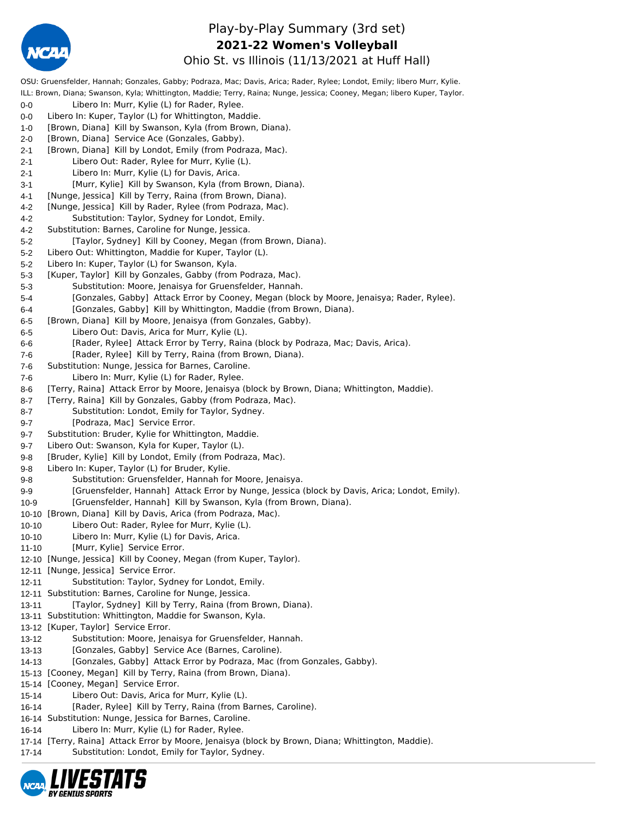

## Play-by-Play Summary (3rd set) **2021-22 Women's Volleyball**

Ohio St. vs Illinois (11/13/2021 at Huff Hall)

OSU: Gruensfelder, Hannah; Gonzales, Gabby; Podraza, Mac; Davis, Arica; Rader, Rylee; Londot, Emily; libero Murr, Kylie. ILL: Brown, Diana; Swanson, Kyla; Whittington, Maddie; Terry, Raina; Nunge, Jessica; Cooney, Megan; libero Kuper, Taylor. 0-0 Libero In: Murr, Kylie (L) for Rader, Rylee. 0-0 Libero In: Kuper, Taylor (L) for Whittington, Maddie. 1-0 [Brown, Diana] Kill by Swanson, Kyla (from Brown, Diana). 2-0 [Brown, Diana] Service Ace (Gonzales, Gabby). 2-1 [Brown, Diana] Kill by Londot, Emily (from Podraza, Mac). 2-1 Libero Out: Rader, Rylee for Murr, Kylie (L). 2-1 Libero In: Murr, Kylie (L) for Davis, Arica. 3-1 [Murr, Kylie] Kill by Swanson, Kyla (from Brown, Diana). 4-1 [Nunge, Jessica] Kill by Terry, Raina (from Brown, Diana). 4-2 [Nunge, Jessica] Kill by Rader, Rylee (from Podraza, Mac). 4-2 Substitution: Taylor, Sydney for Londot, Emily. 4-2 Substitution: Barnes, Caroline for Nunge, Jessica. 5-2 [Taylor, Sydney] Kill by Cooney, Megan (from Brown, Diana). 5-2 Libero Out: Whittington, Maddie for Kuper, Taylor (L). 5-2 Libero In: Kuper, Taylor (L) for Swanson, Kyla. 5-3 [Kuper, Taylor] Kill by Gonzales, Gabby (from Podraza, Mac). 5-3 Substitution: Moore, Jenaisya for Gruensfelder, Hannah. 5-4 [Gonzales, Gabby] Attack Error by Cooney, Megan (block by Moore, Jenaisya; Rader, Rylee). 6-4 [Gonzales, Gabby] Kill by Whittington, Maddie (from Brown, Diana). 6-5 [Brown, Diana] Kill by Moore, Jenaisya (from Gonzales, Gabby). 6-5 Libero Out: Davis, Arica for Murr, Kylie (L). 6-6 [Rader, Rylee] Attack Error by Terry, Raina (block by Podraza, Mac; Davis, Arica). 7-6 [Rader, Rylee] Kill by Terry, Raina (from Brown, Diana). 7-6 Substitution: Nunge, Jessica for Barnes, Caroline. 7-6 Libero In: Murr, Kylie (L) for Rader, Rylee. 8-6 [Terry, Raina] Attack Error by Moore, Jenaisya (block by Brown, Diana; Whittington, Maddie). 8-7 [Terry, Raina] Kill by Gonzales, Gabby (from Podraza, Mac). 8-7 Substitution: Londot, Emily for Taylor, Sydney. 9-7 [Podraza, Mac] Service Error. 9-7 Substitution: Bruder, Kylie for Whittington, Maddie. 9-7 Libero Out: Swanson, Kyla for Kuper, Taylor (L). 9-8 [Bruder, Kylie] Kill by Londot, Emily (from Podraza, Mac). 9-8 Libero In: Kuper, Taylor (L) for Bruder, Kylie. 9-8 Substitution: Gruensfelder, Hannah for Moore, Jenaisya. 9-9 [Gruensfelder, Hannah] Attack Error by Nunge, Jessica (block by Davis, Arica; Londot, Emily). 10-9 [Gruensfelder, Hannah] Kill by Swanson, Kyla (from Brown, Diana). 10-10 [Brown, Diana] Kill by Davis, Arica (from Podraza, Mac). 10-10 Libero Out: Rader, Rylee for Murr, Kylie (L). 10-10 Libero In: Murr, Kylie (L) for Davis, Arica. 11-10 [Murr, Kylie] Service Error. 12-10 [Nunge, Jessica] Kill by Cooney, Megan (from Kuper, Taylor). 12-11 [Nunge, Jessica] Service Error. 12-11 Substitution: Taylor, Sydney for Londot, Emily. 12-11 Substitution: Barnes, Caroline for Nunge, Jessica. 13-11 [Taylor, Sydney] Kill by Terry, Raina (from Brown, Diana). 13-11 Substitution: Whittington, Maddie for Swanson, Kyla. 13-12 [Kuper, Taylor] Service Error. 13-12 Substitution: Moore, Jenaisya for Gruensfelder, Hannah. 13-13 [Gonzales, Gabby] Service Ace (Barnes, Caroline). 14-13 [Gonzales, Gabby] Attack Error by Podraza, Mac (from Gonzales, Gabby). 15-13 [Cooney, Megan] Kill by Terry, Raina (from Brown, Diana). 15-14 [Cooney, Megan] Service Error. 15-14 Libero Out: Davis, Arica for Murr, Kylie (L). 16-14 [Rader, Rylee] Kill by Terry, Raina (from Barnes, Caroline). 16-14 Substitution: Nunge, Jessica for Barnes, Caroline. 16-14 Libero In: Murr, Kylie (L) for Rader, Rylee. 17-14 [Terry, Raina] Attack Error by Moore, Jenaisya (block by Brown, Diana; Whittington, Maddie). 17-14 Substitution: Londot, Emily for Taylor, Sydney.

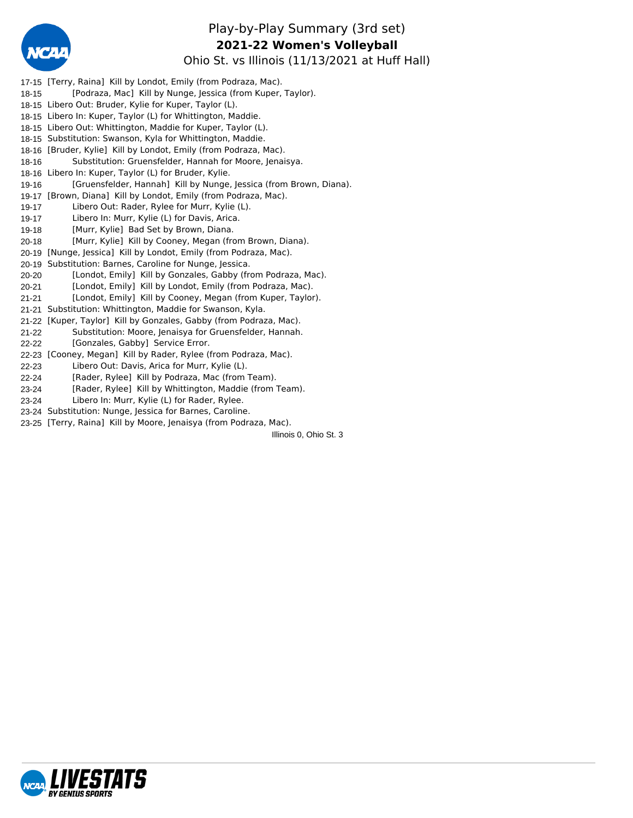

## Play-by-Play Summary (3rd set) Ohio St. vs Illinois (11/13/2021 at Huff Hall) **2021-22 Women's Volleyball**

17-15 [Terry, Raina] Kill by Londot, Emily (from Podraza, Mac). 18-15 [Podraza, Mac] Kill by Nunge, Jessica (from Kuper, Taylor). 18-15 Libero Out: Bruder, Kylie for Kuper, Taylor (L). 18-15 Libero In: Kuper, Taylor (L) for Whittington, Maddie. 18-15 Libero Out: Whittington, Maddie for Kuper, Taylor (L). 18-15 Substitution: Swanson, Kyla for Whittington, Maddie. 18-16 [Bruder, Kylie] Kill by Londot, Emily (from Podraza, Mac). 18-16 Substitution: Gruensfelder, Hannah for Moore, Jenaisya. 18-16 Libero In: Kuper, Taylor (L) for Bruder, Kylie. 19-16 [Gruensfelder, Hannah] Kill by Nunge, Jessica (from Brown, Diana). 19-17 [Brown, Diana] Kill by Londot, Emily (from Podraza, Mac). 19-17 Libero Out: Rader, Rylee for Murr, Kylie (L). 19-17 Libero In: Murr, Kylie (L) for Davis, Arica. 19-18 [Murr, Kylie] Bad Set by Brown, Diana. 20-18 [Murr, Kylie] Kill by Cooney, Megan (from Brown, Diana). 20-19 [Nunge, Jessica] Kill by Londot, Emily (from Podraza, Mac). 20-19 Substitution: Barnes, Caroline for Nunge, Jessica. 20-20 [Londot, Emily] Kill by Gonzales, Gabby (from Podraza, Mac). 20-21 [Londot, Emily] Kill by Londot, Emily (from Podraza, Mac). 21-21 [Londot, Emily] Kill by Cooney, Megan (from Kuper, Taylor). 21-21 Substitution: Whittington, Maddie for Swanson, Kyla. 21-22 [Kuper, Taylor] Kill by Gonzales, Gabby (from Podraza, Mac). 21-22 Substitution: Moore, Jenaisya for Gruensfelder, Hannah. 22-22 [Gonzales, Gabby] Service Error. 22-23 [Cooney, Megan] Kill by Rader, Rylee (from Podraza, Mac). 22-23 Libero Out: Davis, Arica for Murr, Kylie (L). 22-24 [Rader, Rylee] Kill by Podraza, Mac (from Team). 23-24 [Rader, Rylee] Kill by Whittington, Maddie (from Team). 23-24 Libero In: Murr, Kylie (L) for Rader, Rylee.

23-24 Substitution: Nunge, Jessica for Barnes, Caroline.

23-25 [Terry, Raina] Kill by Moore, Jenaisya (from Podraza, Mac).

Illinois 0, Ohio St. 3

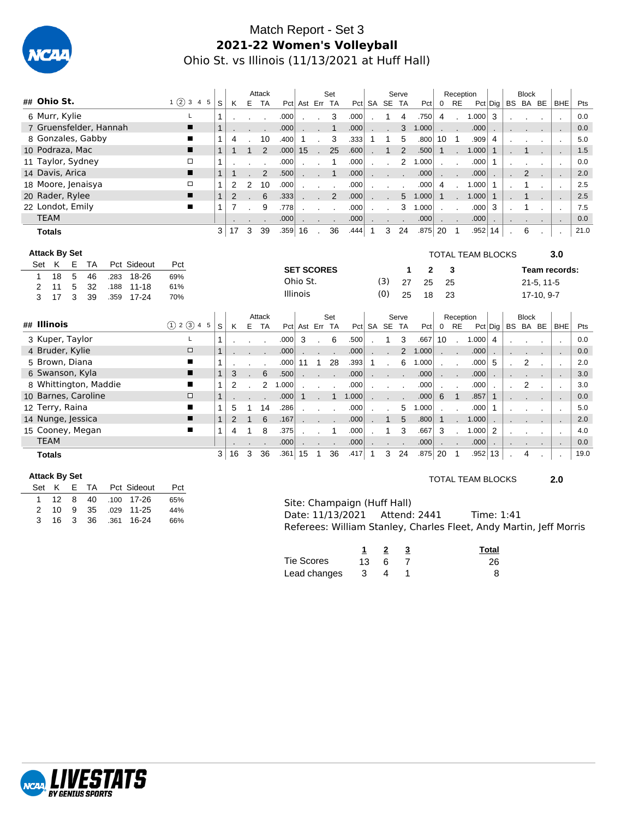

# Match Report - Set 3 **2021-22 Women's Volleyball** Ohio St. vs Illinois (11/13/2021 at Huff Hall)

| ## Ohio St.<br>1(2)345<br>S<br>K<br>Е<br><b>TA</b><br>Pct Ast Err TA<br>Pct SA SE TA<br>$0$ RE<br>BS BA BE<br><b>BHE</b><br>Pts<br>Pct<br>Pct Dig<br>6 Murr, Kylie<br>Г<br>.000<br>3<br>.750<br>1.000<br>3<br>0.0<br>.000<br>4<br>$\overline{4}$<br>1<br>$\mathbf{r}$<br>7 Gruensfelder, Hannah<br>п<br>$\mathbf{1}$<br>3<br>1<br>.000<br>.000<br>1.000<br>.000<br>0.0<br>8 Gonzales, Gabby<br>3<br>.333<br>5<br>5.0<br>■<br>10<br>.400<br>1<br>.800<br>10<br>$\overline{\phantom{0}}$<br>.909<br>4<br>1<br>1<br>1<br>4<br>$\cdot$<br>10 Podraza, Mac<br>$\overline{2}$<br>$\mathbf{1}$<br>2<br>25<br>■<br>15<br>1.000<br>1.5<br>$\mathbf{1}$<br>.000<br>.600<br>.500<br>$\mathbf{1}$<br>$\mathbf{1}$<br>1<br>$\mathbf{1}$<br>$\mathbf{1}$<br>$\overline{\phantom{a}}$<br>11 Taylor, Sydney<br>$\overline{2}$<br>□<br>0.0<br>.000<br>$\mathbf{1}$<br>.000<br>1.000<br>.000<br>$\mathbf{1}$<br>1<br>$\sim$<br>$\cdot$<br>14 Davis, Arica<br>2<br>$\overline{2}$<br>■<br>1<br>.500<br>$\mathbf{1}$<br>.000<br>.000<br>.000<br>2.0<br>$\mathbf 1$<br>18 Moore, Jenaisya<br>□<br>10<br>1.000<br>1<br>2<br>2<br>.000<br>.000<br>.000<br>1<br>2.5<br>4<br>$\mathbf 1$<br>$\overline{\phantom{a}}$<br>$\mathbf{1}$<br>20 Rader, Rylee<br>6<br>п<br>2<br>2<br>5<br>1.000<br>$\mathbf{1}$<br>2.5<br>.333<br>.000<br>1.000<br>$\mathbf{1}$<br>$\mathbf{1}$<br>÷.<br>22 Londot, Emily<br>■<br>3<br>1<br>7<br>9<br>.000<br>1.000<br>.000<br>3<br>7.5<br>.778<br>$\sim$<br>$\cdot$<br><b>TEAM</b><br>.000<br>0.0<br>.000<br>.000<br>.000<br>$\blacksquare$<br>$\sim$ $\sim$<br>$\sim$<br>$\sim$<br>$\sim$<br>٠.<br>$\mathbf{r}$<br>$\overline{3}$<br>17<br>3<br>$.359$ 16<br>36<br>3<br>24<br>.875<br>20<br>6<br>39<br>.444<br>$.952 \mid 14$<br>21.0<br>$\overline{1}$<br>$\mathbf{1}$<br><b>Totals</b><br>$\mathbf{r}$<br><b>Attack By Set</b><br>3.0<br><b>TOTAL TEAM BLOCKS</b><br>K<br>Pct Sideout<br>Е<br>TA<br>Set<br>Pct<br><b>SET SCORES</b><br>3<br>Team records:<br>2<br>1<br>5<br>18<br>18-26<br>46<br>.283<br>69%<br>1<br>Ohio St.<br>(3)<br>27<br>25<br>25<br>$21-5, 11-5$<br>5<br>11<br>32<br>$11 - 18$<br>2<br>.188<br>61%<br><b>Illinois</b><br>(0)<br>25<br>18<br>23<br>17-10, 9-7<br>3<br>3<br>17<br>39<br>$17 - 24$<br>.359<br>70%<br>Attack<br>Set<br>Serve<br>Reception<br><b>Block</b><br>## Illinois<br>(1) 2 (3) 4 5<br>E.<br>$0$ RE<br>S<br>K<br><b>TA</b><br>Pct Ast Err TA<br>Pct SA SE TA<br>Pct<br>$Pct  $ Dig $ $<br>BS BA BE<br><b>BHE</b><br>Pts<br>3 Kuper, Taylor<br>L<br>3<br>6<br>3<br>1.000<br>.000<br>.500<br>.667<br>10<br>1<br>1<br>4<br>0.0<br>$\sim$<br>$\mathbf{r}$<br>$\overline{\phantom{a}}$<br>4 Bruder, Kylie<br>$\Box$<br>1<br>$\overline{2}$<br>.000<br>1.000<br>.000<br>0.0<br>.000<br>$\overline{\phantom{a}}$<br>$\overline{2}$<br>5 Brown, Diana<br>6<br>■<br>28<br>5<br>2.0<br>.000<br>$\mathbf{1}$<br>.393<br>1.000<br>.000<br>1<br>11<br>$\mathbf{1}$<br>$\mathbf{r}$<br>$\sim$<br>$\blacksquare$<br>6 Swanson, Kyla<br>$6\phantom{1}6$<br>∎<br>1<br>3<br>.500<br>.000<br>.000<br>3.0<br>.000<br>$\sim$ $\sim$<br>8 Whittington, Maddie<br>2<br>$\overline{2}$<br>2<br>1.000<br>п<br>1<br>.000<br>.000<br>.000<br>3.0<br>$\cdot$<br>$\overline{a}$<br>10 Barnes, Caroline<br>$\mathbf{1}$<br>$\Box$<br>$\mathbf{1}$<br>6<br>$\overline{1}$<br>.000<br>1.000<br>.000<br>.857<br>$\mathbf{1}$<br>0.0<br>$\mathbf{1}$<br>12 Terry, Raina<br>П<br>14<br>5<br>1.000<br>.000<br>5.0<br>1<br>5<br>.286<br>.000<br>$\mathbf 1$<br>1<br>$\overline{\phantom{a}}$<br>$\cdot$<br>14 Nunge, Jessica<br>$\mathbf{1}$<br>5<br>п<br>6<br>2<br>$\mathbf{1}$<br>.167<br>$\mathbf{1}$<br>2.0<br>.000<br>.800<br>$\mathbf{1}$<br>1.000<br>$\sim$<br>15 Cooney, Megan<br>3<br>8<br>3<br>2<br>■<br>.375<br>.667<br>1.000<br>4.0<br>.000<br>1<br>1<br>4<br>1<br>$\cdot$<br><b>TEAM</b><br>.000<br>.000<br>0.0<br>.000<br>.000<br>$\mathbf{r}$<br>36<br>24<br>16<br>3<br>$.361 $ 15<br>36<br>3<br>.875<br>20<br>3<br>.417<br>$\overline{1}$<br>.952<br>13<br>19.0<br>$\overline{1}$<br>$\overline{1}$<br>4<br><b>Totals</b> |  |  |  |  |  |  | Attack |  | Set |  | Serve |  | Reception |  | <b>Block</b> |  |  |
|---------------------------------------------------------------------------------------------------------------------------------------------------------------------------------------------------------------------------------------------------------------------------------------------------------------------------------------------------------------------------------------------------------------------------------------------------------------------------------------------------------------------------------------------------------------------------------------------------------------------------------------------------------------------------------------------------------------------------------------------------------------------------------------------------------------------------------------------------------------------------------------------------------------------------------------------------------------------------------------------------------------------------------------------------------------------------------------------------------------------------------------------------------------------------------------------------------------------------------------------------------------------------------------------------------------------------------------------------------------------------------------------------------------------------------------------------------------------------------------------------------------------------------------------------------------------------------------------------------------------------------------------------------------------------------------------------------------------------------------------------------------------------------------------------------------------------------------------------------------------------------------------------------------------------------------------------------------------------------------------------------------------------------------------------------------------------------------------------------------------------------------------------------------------------------------------------------------------------------------------------------------------------------------------------------------------------------------------------------------------------------------------------------------------------------------------------------------------------------------------------------------------------------------------------------------------------------------------------------------------------------------------------------------------------------------------------------------------------------------------------------------------------------------------------------------------------------------------------------------------------------------------------------------------------------------------------------------------------------------------------------------------------------------------------------------------------------------------------------------------------------------------------------------------------------------------------------------------------------------------------------------------------------------------------------------------------------------------------------------------------------------------------------------------------------------------------------------------------------------------------------------------------------------------------------------------------------------------------------------------------------------------------------------------------------------------------------------------------------------------------------------------------------------------------------------------------------------------------------------------------------------------------------------------------------------------------------------------------------------------------------------------------------------------------|--|--|--|--|--|--|--------|--|-----|--|-------|--|-----------|--|--------------|--|--|
|                                                                                                                                                                                                                                                                                                                                                                                                                                                                                                                                                                                                                                                                                                                                                                                                                                                                                                                                                                                                                                                                                                                                                                                                                                                                                                                                                                                                                                                                                                                                                                                                                                                                                                                                                                                                                                                                                                                                                                                                                                                                                                                                                                                                                                                                                                                                                                                                                                                                                                                                                                                                                                                                                                                                                                                                                                                                                                                                                                                                                                                                                                                                                                                                                                                                                                                                                                                                                                                                                                                                                                                                                                                                                                                                                                                                                                                                                                                                                                                                                                                   |  |  |  |  |  |  |        |  |     |  |       |  |           |  |              |  |  |
|                                                                                                                                                                                                                                                                                                                                                                                                                                                                                                                                                                                                                                                                                                                                                                                                                                                                                                                                                                                                                                                                                                                                                                                                                                                                                                                                                                                                                                                                                                                                                                                                                                                                                                                                                                                                                                                                                                                                                                                                                                                                                                                                                                                                                                                                                                                                                                                                                                                                                                                                                                                                                                                                                                                                                                                                                                                                                                                                                                                                                                                                                                                                                                                                                                                                                                                                                                                                                                                                                                                                                                                                                                                                                                                                                                                                                                                                                                                                                                                                                                                   |  |  |  |  |  |  |        |  |     |  |       |  |           |  |              |  |  |
|                                                                                                                                                                                                                                                                                                                                                                                                                                                                                                                                                                                                                                                                                                                                                                                                                                                                                                                                                                                                                                                                                                                                                                                                                                                                                                                                                                                                                                                                                                                                                                                                                                                                                                                                                                                                                                                                                                                                                                                                                                                                                                                                                                                                                                                                                                                                                                                                                                                                                                                                                                                                                                                                                                                                                                                                                                                                                                                                                                                                                                                                                                                                                                                                                                                                                                                                                                                                                                                                                                                                                                                                                                                                                                                                                                                                                                                                                                                                                                                                                                                   |  |  |  |  |  |  |        |  |     |  |       |  |           |  |              |  |  |
|                                                                                                                                                                                                                                                                                                                                                                                                                                                                                                                                                                                                                                                                                                                                                                                                                                                                                                                                                                                                                                                                                                                                                                                                                                                                                                                                                                                                                                                                                                                                                                                                                                                                                                                                                                                                                                                                                                                                                                                                                                                                                                                                                                                                                                                                                                                                                                                                                                                                                                                                                                                                                                                                                                                                                                                                                                                                                                                                                                                                                                                                                                                                                                                                                                                                                                                                                                                                                                                                                                                                                                                                                                                                                                                                                                                                                                                                                                                                                                                                                                                   |  |  |  |  |  |  |        |  |     |  |       |  |           |  |              |  |  |
|                                                                                                                                                                                                                                                                                                                                                                                                                                                                                                                                                                                                                                                                                                                                                                                                                                                                                                                                                                                                                                                                                                                                                                                                                                                                                                                                                                                                                                                                                                                                                                                                                                                                                                                                                                                                                                                                                                                                                                                                                                                                                                                                                                                                                                                                                                                                                                                                                                                                                                                                                                                                                                                                                                                                                                                                                                                                                                                                                                                                                                                                                                                                                                                                                                                                                                                                                                                                                                                                                                                                                                                                                                                                                                                                                                                                                                                                                                                                                                                                                                                   |  |  |  |  |  |  |        |  |     |  |       |  |           |  |              |  |  |
|                                                                                                                                                                                                                                                                                                                                                                                                                                                                                                                                                                                                                                                                                                                                                                                                                                                                                                                                                                                                                                                                                                                                                                                                                                                                                                                                                                                                                                                                                                                                                                                                                                                                                                                                                                                                                                                                                                                                                                                                                                                                                                                                                                                                                                                                                                                                                                                                                                                                                                                                                                                                                                                                                                                                                                                                                                                                                                                                                                                                                                                                                                                                                                                                                                                                                                                                                                                                                                                                                                                                                                                                                                                                                                                                                                                                                                                                                                                                                                                                                                                   |  |  |  |  |  |  |        |  |     |  |       |  |           |  |              |  |  |
|                                                                                                                                                                                                                                                                                                                                                                                                                                                                                                                                                                                                                                                                                                                                                                                                                                                                                                                                                                                                                                                                                                                                                                                                                                                                                                                                                                                                                                                                                                                                                                                                                                                                                                                                                                                                                                                                                                                                                                                                                                                                                                                                                                                                                                                                                                                                                                                                                                                                                                                                                                                                                                                                                                                                                                                                                                                                                                                                                                                                                                                                                                                                                                                                                                                                                                                                                                                                                                                                                                                                                                                                                                                                                                                                                                                                                                                                                                                                                                                                                                                   |  |  |  |  |  |  |        |  |     |  |       |  |           |  |              |  |  |
|                                                                                                                                                                                                                                                                                                                                                                                                                                                                                                                                                                                                                                                                                                                                                                                                                                                                                                                                                                                                                                                                                                                                                                                                                                                                                                                                                                                                                                                                                                                                                                                                                                                                                                                                                                                                                                                                                                                                                                                                                                                                                                                                                                                                                                                                                                                                                                                                                                                                                                                                                                                                                                                                                                                                                                                                                                                                                                                                                                                                                                                                                                                                                                                                                                                                                                                                                                                                                                                                                                                                                                                                                                                                                                                                                                                                                                                                                                                                                                                                                                                   |  |  |  |  |  |  |        |  |     |  |       |  |           |  |              |  |  |
|                                                                                                                                                                                                                                                                                                                                                                                                                                                                                                                                                                                                                                                                                                                                                                                                                                                                                                                                                                                                                                                                                                                                                                                                                                                                                                                                                                                                                                                                                                                                                                                                                                                                                                                                                                                                                                                                                                                                                                                                                                                                                                                                                                                                                                                                                                                                                                                                                                                                                                                                                                                                                                                                                                                                                                                                                                                                                                                                                                                                                                                                                                                                                                                                                                                                                                                                                                                                                                                                                                                                                                                                                                                                                                                                                                                                                                                                                                                                                                                                                                                   |  |  |  |  |  |  |        |  |     |  |       |  |           |  |              |  |  |
|                                                                                                                                                                                                                                                                                                                                                                                                                                                                                                                                                                                                                                                                                                                                                                                                                                                                                                                                                                                                                                                                                                                                                                                                                                                                                                                                                                                                                                                                                                                                                                                                                                                                                                                                                                                                                                                                                                                                                                                                                                                                                                                                                                                                                                                                                                                                                                                                                                                                                                                                                                                                                                                                                                                                                                                                                                                                                                                                                                                                                                                                                                                                                                                                                                                                                                                                                                                                                                                                                                                                                                                                                                                                                                                                                                                                                                                                                                                                                                                                                                                   |  |  |  |  |  |  |        |  |     |  |       |  |           |  |              |  |  |
|                                                                                                                                                                                                                                                                                                                                                                                                                                                                                                                                                                                                                                                                                                                                                                                                                                                                                                                                                                                                                                                                                                                                                                                                                                                                                                                                                                                                                                                                                                                                                                                                                                                                                                                                                                                                                                                                                                                                                                                                                                                                                                                                                                                                                                                                                                                                                                                                                                                                                                                                                                                                                                                                                                                                                                                                                                                                                                                                                                                                                                                                                                                                                                                                                                                                                                                                                                                                                                                                                                                                                                                                                                                                                                                                                                                                                                                                                                                                                                                                                                                   |  |  |  |  |  |  |        |  |     |  |       |  |           |  |              |  |  |
|                                                                                                                                                                                                                                                                                                                                                                                                                                                                                                                                                                                                                                                                                                                                                                                                                                                                                                                                                                                                                                                                                                                                                                                                                                                                                                                                                                                                                                                                                                                                                                                                                                                                                                                                                                                                                                                                                                                                                                                                                                                                                                                                                                                                                                                                                                                                                                                                                                                                                                                                                                                                                                                                                                                                                                                                                                                                                                                                                                                                                                                                                                                                                                                                                                                                                                                                                                                                                                                                                                                                                                                                                                                                                                                                                                                                                                                                                                                                                                                                                                                   |  |  |  |  |  |  |        |  |     |  |       |  |           |  |              |  |  |
|                                                                                                                                                                                                                                                                                                                                                                                                                                                                                                                                                                                                                                                                                                                                                                                                                                                                                                                                                                                                                                                                                                                                                                                                                                                                                                                                                                                                                                                                                                                                                                                                                                                                                                                                                                                                                                                                                                                                                                                                                                                                                                                                                                                                                                                                                                                                                                                                                                                                                                                                                                                                                                                                                                                                                                                                                                                                                                                                                                                                                                                                                                                                                                                                                                                                                                                                                                                                                                                                                                                                                                                                                                                                                                                                                                                                                                                                                                                                                                                                                                                   |  |  |  |  |  |  |        |  |     |  |       |  |           |  |              |  |  |
|                                                                                                                                                                                                                                                                                                                                                                                                                                                                                                                                                                                                                                                                                                                                                                                                                                                                                                                                                                                                                                                                                                                                                                                                                                                                                                                                                                                                                                                                                                                                                                                                                                                                                                                                                                                                                                                                                                                                                                                                                                                                                                                                                                                                                                                                                                                                                                                                                                                                                                                                                                                                                                                                                                                                                                                                                                                                                                                                                                                                                                                                                                                                                                                                                                                                                                                                                                                                                                                                                                                                                                                                                                                                                                                                                                                                                                                                                                                                                                                                                                                   |  |  |  |  |  |  |        |  |     |  |       |  |           |  |              |  |  |
|                                                                                                                                                                                                                                                                                                                                                                                                                                                                                                                                                                                                                                                                                                                                                                                                                                                                                                                                                                                                                                                                                                                                                                                                                                                                                                                                                                                                                                                                                                                                                                                                                                                                                                                                                                                                                                                                                                                                                                                                                                                                                                                                                                                                                                                                                                                                                                                                                                                                                                                                                                                                                                                                                                                                                                                                                                                                                                                                                                                                                                                                                                                                                                                                                                                                                                                                                                                                                                                                                                                                                                                                                                                                                                                                                                                                                                                                                                                                                                                                                                                   |  |  |  |  |  |  |        |  |     |  |       |  |           |  |              |  |  |
|                                                                                                                                                                                                                                                                                                                                                                                                                                                                                                                                                                                                                                                                                                                                                                                                                                                                                                                                                                                                                                                                                                                                                                                                                                                                                                                                                                                                                                                                                                                                                                                                                                                                                                                                                                                                                                                                                                                                                                                                                                                                                                                                                                                                                                                                                                                                                                                                                                                                                                                                                                                                                                                                                                                                                                                                                                                                                                                                                                                                                                                                                                                                                                                                                                                                                                                                                                                                                                                                                                                                                                                                                                                                                                                                                                                                                                                                                                                                                                                                                                                   |  |  |  |  |  |  |        |  |     |  |       |  |           |  |              |  |  |
|                                                                                                                                                                                                                                                                                                                                                                                                                                                                                                                                                                                                                                                                                                                                                                                                                                                                                                                                                                                                                                                                                                                                                                                                                                                                                                                                                                                                                                                                                                                                                                                                                                                                                                                                                                                                                                                                                                                                                                                                                                                                                                                                                                                                                                                                                                                                                                                                                                                                                                                                                                                                                                                                                                                                                                                                                                                                                                                                                                                                                                                                                                                                                                                                                                                                                                                                                                                                                                                                                                                                                                                                                                                                                                                                                                                                                                                                                                                                                                                                                                                   |  |  |  |  |  |  |        |  |     |  |       |  |           |  |              |  |  |
|                                                                                                                                                                                                                                                                                                                                                                                                                                                                                                                                                                                                                                                                                                                                                                                                                                                                                                                                                                                                                                                                                                                                                                                                                                                                                                                                                                                                                                                                                                                                                                                                                                                                                                                                                                                                                                                                                                                                                                                                                                                                                                                                                                                                                                                                                                                                                                                                                                                                                                                                                                                                                                                                                                                                                                                                                                                                                                                                                                                                                                                                                                                                                                                                                                                                                                                                                                                                                                                                                                                                                                                                                                                                                                                                                                                                                                                                                                                                                                                                                                                   |  |  |  |  |  |  |        |  |     |  |       |  |           |  |              |  |  |
|                                                                                                                                                                                                                                                                                                                                                                                                                                                                                                                                                                                                                                                                                                                                                                                                                                                                                                                                                                                                                                                                                                                                                                                                                                                                                                                                                                                                                                                                                                                                                                                                                                                                                                                                                                                                                                                                                                                                                                                                                                                                                                                                                                                                                                                                                                                                                                                                                                                                                                                                                                                                                                                                                                                                                                                                                                                                                                                                                                                                                                                                                                                                                                                                                                                                                                                                                                                                                                                                                                                                                                                                                                                                                                                                                                                                                                                                                                                                                                                                                                                   |  |  |  |  |  |  |        |  |     |  |       |  |           |  |              |  |  |
|                                                                                                                                                                                                                                                                                                                                                                                                                                                                                                                                                                                                                                                                                                                                                                                                                                                                                                                                                                                                                                                                                                                                                                                                                                                                                                                                                                                                                                                                                                                                                                                                                                                                                                                                                                                                                                                                                                                                                                                                                                                                                                                                                                                                                                                                                                                                                                                                                                                                                                                                                                                                                                                                                                                                                                                                                                                                                                                                                                                                                                                                                                                                                                                                                                                                                                                                                                                                                                                                                                                                                                                                                                                                                                                                                                                                                                                                                                                                                                                                                                                   |  |  |  |  |  |  |        |  |     |  |       |  |           |  |              |  |  |
|                                                                                                                                                                                                                                                                                                                                                                                                                                                                                                                                                                                                                                                                                                                                                                                                                                                                                                                                                                                                                                                                                                                                                                                                                                                                                                                                                                                                                                                                                                                                                                                                                                                                                                                                                                                                                                                                                                                                                                                                                                                                                                                                                                                                                                                                                                                                                                                                                                                                                                                                                                                                                                                                                                                                                                                                                                                                                                                                                                                                                                                                                                                                                                                                                                                                                                                                                                                                                                                                                                                                                                                                                                                                                                                                                                                                                                                                                                                                                                                                                                                   |  |  |  |  |  |  |        |  |     |  |       |  |           |  |              |  |  |
|                                                                                                                                                                                                                                                                                                                                                                                                                                                                                                                                                                                                                                                                                                                                                                                                                                                                                                                                                                                                                                                                                                                                                                                                                                                                                                                                                                                                                                                                                                                                                                                                                                                                                                                                                                                                                                                                                                                                                                                                                                                                                                                                                                                                                                                                                                                                                                                                                                                                                                                                                                                                                                                                                                                                                                                                                                                                                                                                                                                                                                                                                                                                                                                                                                                                                                                                                                                                                                                                                                                                                                                                                                                                                                                                                                                                                                                                                                                                                                                                                                                   |  |  |  |  |  |  |        |  |     |  |       |  |           |  |              |  |  |
|                                                                                                                                                                                                                                                                                                                                                                                                                                                                                                                                                                                                                                                                                                                                                                                                                                                                                                                                                                                                                                                                                                                                                                                                                                                                                                                                                                                                                                                                                                                                                                                                                                                                                                                                                                                                                                                                                                                                                                                                                                                                                                                                                                                                                                                                                                                                                                                                                                                                                                                                                                                                                                                                                                                                                                                                                                                                                                                                                                                                                                                                                                                                                                                                                                                                                                                                                                                                                                                                                                                                                                                                                                                                                                                                                                                                                                                                                                                                                                                                                                                   |  |  |  |  |  |  |        |  |     |  |       |  |           |  |              |  |  |
|                                                                                                                                                                                                                                                                                                                                                                                                                                                                                                                                                                                                                                                                                                                                                                                                                                                                                                                                                                                                                                                                                                                                                                                                                                                                                                                                                                                                                                                                                                                                                                                                                                                                                                                                                                                                                                                                                                                                                                                                                                                                                                                                                                                                                                                                                                                                                                                                                                                                                                                                                                                                                                                                                                                                                                                                                                                                                                                                                                                                                                                                                                                                                                                                                                                                                                                                                                                                                                                                                                                                                                                                                                                                                                                                                                                                                                                                                                                                                                                                                                                   |  |  |  |  |  |  |        |  |     |  |       |  |           |  |              |  |  |
|                                                                                                                                                                                                                                                                                                                                                                                                                                                                                                                                                                                                                                                                                                                                                                                                                                                                                                                                                                                                                                                                                                                                                                                                                                                                                                                                                                                                                                                                                                                                                                                                                                                                                                                                                                                                                                                                                                                                                                                                                                                                                                                                                                                                                                                                                                                                                                                                                                                                                                                                                                                                                                                                                                                                                                                                                                                                                                                                                                                                                                                                                                                                                                                                                                                                                                                                                                                                                                                                                                                                                                                                                                                                                                                                                                                                                                                                                                                                                                                                                                                   |  |  |  |  |  |  |        |  |     |  |       |  |           |  |              |  |  |
|                                                                                                                                                                                                                                                                                                                                                                                                                                                                                                                                                                                                                                                                                                                                                                                                                                                                                                                                                                                                                                                                                                                                                                                                                                                                                                                                                                                                                                                                                                                                                                                                                                                                                                                                                                                                                                                                                                                                                                                                                                                                                                                                                                                                                                                                                                                                                                                                                                                                                                                                                                                                                                                                                                                                                                                                                                                                                                                                                                                                                                                                                                                                                                                                                                                                                                                                                                                                                                                                                                                                                                                                                                                                                                                                                                                                                                                                                                                                                                                                                                                   |  |  |  |  |  |  |        |  |     |  |       |  |           |  |              |  |  |
|                                                                                                                                                                                                                                                                                                                                                                                                                                                                                                                                                                                                                                                                                                                                                                                                                                                                                                                                                                                                                                                                                                                                                                                                                                                                                                                                                                                                                                                                                                                                                                                                                                                                                                                                                                                                                                                                                                                                                                                                                                                                                                                                                                                                                                                                                                                                                                                                                                                                                                                                                                                                                                                                                                                                                                                                                                                                                                                                                                                                                                                                                                                                                                                                                                                                                                                                                                                                                                                                                                                                                                                                                                                                                                                                                                                                                                                                                                                                                                                                                                                   |  |  |  |  |  |  |        |  |     |  |       |  |           |  |              |  |  |
|                                                                                                                                                                                                                                                                                                                                                                                                                                                                                                                                                                                                                                                                                                                                                                                                                                                                                                                                                                                                                                                                                                                                                                                                                                                                                                                                                                                                                                                                                                                                                                                                                                                                                                                                                                                                                                                                                                                                                                                                                                                                                                                                                                                                                                                                                                                                                                                                                                                                                                                                                                                                                                                                                                                                                                                                                                                                                                                                                                                                                                                                                                                                                                                                                                                                                                                                                                                                                                                                                                                                                                                                                                                                                                                                                                                                                                                                                                                                                                                                                                                   |  |  |  |  |  |  |        |  |     |  |       |  |           |  |              |  |  |
|                                                                                                                                                                                                                                                                                                                                                                                                                                                                                                                                                                                                                                                                                                                                                                                                                                                                                                                                                                                                                                                                                                                                                                                                                                                                                                                                                                                                                                                                                                                                                                                                                                                                                                                                                                                                                                                                                                                                                                                                                                                                                                                                                                                                                                                                                                                                                                                                                                                                                                                                                                                                                                                                                                                                                                                                                                                                                                                                                                                                                                                                                                                                                                                                                                                                                                                                                                                                                                                                                                                                                                                                                                                                                                                                                                                                                                                                                                                                                                                                                                                   |  |  |  |  |  |  |        |  |     |  |       |  |           |  |              |  |  |
|                                                                                                                                                                                                                                                                                                                                                                                                                                                                                                                                                                                                                                                                                                                                                                                                                                                                                                                                                                                                                                                                                                                                                                                                                                                                                                                                                                                                                                                                                                                                                                                                                                                                                                                                                                                                                                                                                                                                                                                                                                                                                                                                                                                                                                                                                                                                                                                                                                                                                                                                                                                                                                                                                                                                                                                                                                                                                                                                                                                                                                                                                                                                                                                                                                                                                                                                                                                                                                                                                                                                                                                                                                                                                                                                                                                                                                                                                                                                                                                                                                                   |  |  |  |  |  |  |        |  |     |  |       |  |           |  |              |  |  |
|                                                                                                                                                                                                                                                                                                                                                                                                                                                                                                                                                                                                                                                                                                                                                                                                                                                                                                                                                                                                                                                                                                                                                                                                                                                                                                                                                                                                                                                                                                                                                                                                                                                                                                                                                                                                                                                                                                                                                                                                                                                                                                                                                                                                                                                                                                                                                                                                                                                                                                                                                                                                                                                                                                                                                                                                                                                                                                                                                                                                                                                                                                                                                                                                                                                                                                                                                                                                                                                                                                                                                                                                                                                                                                                                                                                                                                                                                                                                                                                                                                                   |  |  |  |  |  |  |        |  |     |  |       |  |           |  |              |  |  |

#### **Attack By Set**

|  |  |  | Set K E TA Pct Sideout | Pct |
|--|--|--|------------------------|-----|
|  |  |  | 1 12 8 40 .100 17-26   | 65% |
|  |  |  | 2 10 9 35 .029 11-25   | 44% |
|  |  |  | 3 16 3 36 361 16-24    | 66% |

#### TOTAL TEAM BLOCKS **2.0**

| Site: Champaign (Huff Hall)   |                                                                    |  |
|-------------------------------|--------------------------------------------------------------------|--|
| Date: 11/13/2021 Attend: 2441 | Time: 1:41                                                         |  |
|                               | Referees: William Stanley, Charles Fleet, Andy Martin, Jeff Morris |  |

|              |      |  | Total |
|--------------|------|--|-------|
| Tie Scores   | 13 6 |  | 26    |
| Lead changes | 3    |  |       |

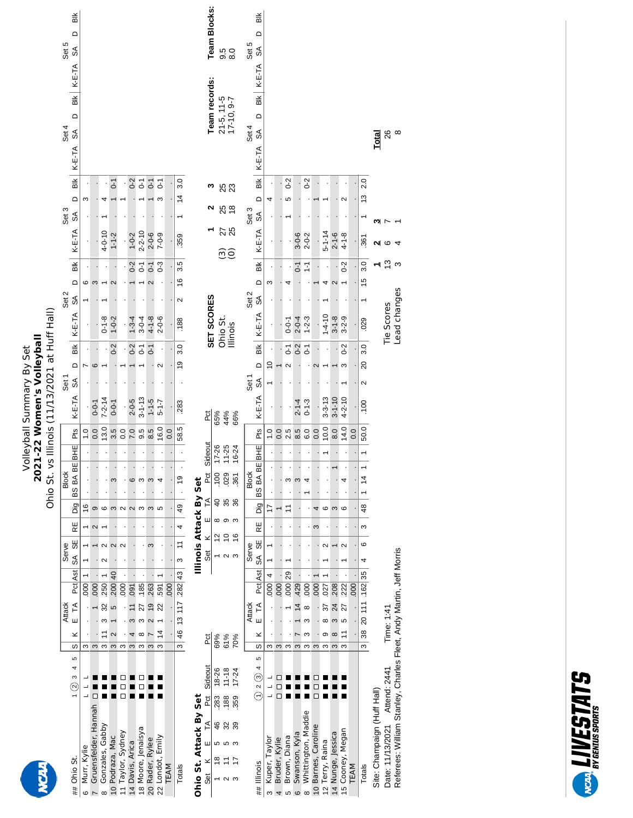|                                                                     | Bik<br>≏<br>Set 5<br>$\frac{1}{\sqrt{2}}$                         |                  |                       |                             |                                  |                   |                         |                                   |                                            |                      |      |                                   |                               | <b>Team Blocks:</b>            |                                                              | 5<br>0.0<br>0.0               |                       | Set 5            | ă<br>≏<br>$\mathbb{S}^{\mathbb{A}}$                     |                    |                    |                   |                                  |                                 |                                                                     |                                             |                                     |      |                                      |                             |                    |                                                                    |
|---------------------------------------------------------------------|-------------------------------------------------------------------|------------------|-----------------------|-----------------------------|----------------------------------|-------------------|-------------------------|-----------------------------------|--------------------------------------------|----------------------|------|-----------------------------------|-------------------------------|--------------------------------|--------------------------------------------------------------|-------------------------------|-----------------------|------------------|---------------------------------------------------------|--------------------|--------------------|-------------------|----------------------------------|---------------------------------|---------------------------------------------------------------------|---------------------------------------------|-------------------------------------|------|--------------------------------------|-----------------------------|--------------------|--------------------------------------------------------------------|
|                                                                     | K-E-TA<br>$\frac{1}{100}$<br>$\Omega$<br>Set 4<br>$\delta$        |                  |                       |                             |                                  |                   |                         |                                   |                                            |                      |      |                                   |                               | Team records:                  |                                                              | $21-5, 11-5$<br>$17-10, 9-7$  |                       | Set 4            | K-E-TA<br>$\frac{1}{100}$<br>$\Omega$<br>SÁ             |                    |                    |                   |                                  |                                 |                                                                     |                                             |                                     |      |                                      | <b>Total</b>                | ల్ల ∞              |                                                                    |
|                                                                     | K-E-TA<br>Вlk<br>$\Omega$<br>Set 3<br>$\delta$                    | ω                |                       |                             | 5                                |                   | $0-2$                   | $\overline{C}$                    | $\overline{C}$                             | $\overline{c}$<br>S  |      | 3.0<br>$\frac{4}{3}$<br>↽         |                               | ო                              |                                                              | 88<br>8 kg                    |                       | Set 3            | $K-E-TA$<br>БĶ<br>$\Box$<br>රත්                         | 4                  |                    | $0-2$<br>5        |                                  | $0-2$                           |                                                                     |                                             | 2                                   |      | 2.0<br>13                            |                             |                    |                                                                    |
|                                                                     | K-E-TA<br>ВĶ<br>≏                                                 | ဖ                | ω                     | $4 - 0 - 10$                | $1 - 1 - 2$                      |                   | $1 - 0 - 2$<br>$0-2$    | $2 - 2 - 10$<br>$\overline{0}$ -1 | $2 - 0 - 6$<br>$\overline{0}$ -1           | $7 - 0 - 9$<br>$0-3$ |      | .359<br>3.5<br>$\frac{6}{2}$      |                               |                                |                                                              | 25<br>Θĝ                      |                       |                  | K-E-TA<br>ă<br>Δ                                        | ო                  |                    | 4                 | $3 - 0 - 6$<br>$\overline{0}$ -1 | $2 - 0 - 2$<br>$\frac{1}{2}$    |                                                                     | $5 - 1 - 14$<br>4<br>2                      | $2 - 1 - 6$<br>$4 - 1 - 8$<br>$0-2$ |      | .361<br>3.0<br>15                    | N                           | ဖ<br>$\frac{3}{2}$ |                                                                    |
|                                                                     | Set <sub>2</sub><br>$\mathcal{S}^{\mathsf{A}}$<br>K-E-TA          |                  |                       | $0 - 1 - 8$                 | $\mathbf{\Omega}$<br>$1 - 0 - 2$ |                   | $1 - 3 - 4$             | $3 - 0 - 4$                       | $4 - 1 - 8$                                | $2 - 0 - 6$          |      | 2<br>.188                         |                               | SET SCORES                     |                                                              | Ohio St.<br>Illinois          |                       | Set <sub>2</sub> | රාි<br>K-E-TA                                           |                    |                    | $0 - 0 - 1$       | $2 - 0 - 4$                      | $1 - 2 - 3$                     |                                                                     | $1 - 4 - 10$                                | $3 - 1 - 8$<br>$3 - 2 - 9$          |      | .029                                 |                             | Tie Scores         | Lead changes                                                       |
| vs Illinois (11/13/2021 at Huff Hall)<br>2021-22 Women's Volleyball | $\frac{1}{2}$<br>$\Omega$<br>Set 1<br>$\mathcal{S}^{\mathcal{A}}$ | r                | ဖ                     |                             | $0 - 2$                          |                   | $0-2$                   | $\overline{C}$                    | $\overline{0}$ -1                          | $\mathbf{\Omega}$    |      | $\frac{3.0}{5}$<br>$\overline{6}$ |                               |                                |                                                              |                               |                       | Set <sub>1</sub> | $\frac{1}{100}$<br>$\Box$<br>$\mathcal{S}^{\mathsf{A}}$ | $\tilde{c}$        |                    | 5<br>$\sim$       | $0-2$                            | $\overline{0}$ -1               | 2                                                                   |                                             | $0-2$<br>S                          |      | 3.0<br>$\overline{20}$<br>$\sim$     |                             |                    |                                                                    |
| <b>Volleyball Summary By Set</b>                                    | K-E-TA<br>Pts                                                     | $\frac{0}{1}$    | $0 - 0 - 1$<br>0.0    | $7 - 2 - 14$<br>13.0        | $0 - 0 - 1$<br>3.5               | 0.0               | $2 - 0 - 5$<br>7.0      | $3 - 1 - 13$<br>9.5               | $1 - 1 - 5$<br>8.5                         | $5 - 1 - 7$<br>16.0  | 0.0  | .283<br>58.5                      |                               | pct                            | 65%                                                          | 44%                           | 66%                   |                  | $K-E-TA$<br>Pts                                         | $\frac{0}{1}$      | 0.0                | 2.5               | $2 - 1 - 4$<br>8.5               | $0 - 1 - 3$<br>6.0              | $3 - 3 - 13$<br>0.0                                                 | $3 - 1 - 10$<br>10.0<br>8.0                 | $4 - 2 - 10$<br>14.0                | 0.0  | .100<br>50.0                         |                             |                    |                                                                    |
| Ohio St.                                                            | BHE<br>BS BA BE<br><b>Block</b>                                   |                  |                       |                             | ო                                |                   | ဖ                       | S                                 | $\boldsymbol{\infty}$                      | 4                    |      | $\overline{6}$                    |                               | Sideout<br>Pct<br>$\mathbb{A}$ | $17 - 26$<br>$11 - 25$<br>$\overline{100}$<br>$\overline{a}$ | 029<br>35                     | 16-24<br>$-361$<br>36 | <b>Block</b>     | BHE <br>BA BE<br>88                                     |                    |                    | S                 | S                                | 4                               |                                                                     |                                             | 4                                   |      | ↽<br>$\frac{4}{3}$                   |                             |                    |                                                                    |
|                                                                     | Dig<br>RE                                                         | $\frac{6}{5}$    | Φ<br>$\sim$           | $\circ$                     | S                                | $\sim$            | $\sim$                  | S                                 | ო                                          | 5                    |      | 49<br>4                           |                               | ш                              |                                                              | ထေ တ က                        |                       |                  | Dig<br>RE                                               | $\overline{17}$    |                    | Ξ                 |                                  |                                 | 4<br>ω                                                              | ဖ                                           | S<br>G                              |      | 48<br>S                              |                             |                    |                                                                    |
|                                                                     | 55<br>Serve<br>$\mathfrak{F}$                                     |                  |                       | $\sim$<br>N                 | $\mathbf{\Omega}$                | $\sim$            |                         |                                   | ო                                          |                      |      | $\overline{1}$<br>S               | <b>Illinois Attack By Set</b> | ×<br>šē                        | $\frac{2}{3}$                                                | $\tilde{c}$<br>$\sim$         | $\frac{6}{5}$<br>S    | Serve            | 59<br>SÃ                                                |                    |                    |                   |                                  |                                 |                                                                     | $\mathbf{\sim}$                             | $\sim$                              |      | $\circ$<br>4                         |                             |                    |                                                                    |
|                                                                     | Pat Ast<br><b>Attack</b><br>$\tilde{\mathsf{H}}$<br>Ш             | 000              | 000                   | <b>250</b><br>32<br>ო       | $\overline{40}$<br>.200<br>5     | .000              | 091<br>$\tilde{=}$<br>S | .185<br>27<br>S                   | 263<br>$\overline{0}$<br>$\mathbf{\Omega}$ | 591<br>22            | .000 | .282 43<br>13117                  |                               |                                |                                                              |                               |                       | <b>Attack</b>    | Pct Ast<br>$\tilde{\mathsf{H}}$<br>Ш                    | 4<br>000           | 000                | 29<br>000         | 429<br>$\overline{4}$            | .000<br>$\infty$<br>ω           | 000                                                                 | 208<br>027<br>24<br>57<br>${}^{\circ}$<br>S | 222<br>27<br>S                      | 000  | 35<br>.162<br>111<br>$\overline{20}$ |                             | Time: 1:41         |                                                                    |
|                                                                     | ×<br>S                                                            | ω                | $\boldsymbol{\infty}$ | Ξ<br>S                      | 2<br>$\boldsymbol{\infty}$       | S                 | 4<br>S                  | $^{\circ}$<br>S                   | S                                          | $\ddot{4}$<br>ო      |      | 46<br>$\infty$                    |                               | Pct                            | 69%                                                          | 61%                           | 70%                   |                  | ×<br>S                                                  | S                  | $\infty$           | S                 | S                                | S<br>S                          | S                                                                   | ၜ<br>$\infty$<br>S                          | Ξ<br>$\infty$<br>ო                  |      | 38<br>S                              |                             |                    |                                                                    |
|                                                                     | 5<br>4<br>S<br>$_{\odot}$                                         |                  |                       |                             |                                  |                   |                         |                                   |                                            |                      |      |                                   |                               | Sideout<br>č                   | 18-26<br>283                                                 | $11 - 18$<br>.188             | $17 - 24$<br>359      |                  | မာ<br>4<br>ⓒ<br>$\sim$<br>$\in$                         |                    | П                  |                   |                                  |                                 |                                                                     |                                             |                                     |      |                                      |                             | Attend: 2441       |                                                                    |
|                                                                     | Ohio St.<br>##                                                    | Murr, Kylie<br>ဖ | Gruensfelder, Hannah  | Gonzales, Gabby<br>$\infty$ | 10 Podraza, Mac                  | 11 Taylor, Sydney | 14 Davis, Arica         | 18 Moore, Jenaisya                | 20 Rader, Rylee                            | 22 Londot, Emily     | TEAM | Totals                            | Ohio St. Attack By Set        | F<br>ш<br>×<br>శ్ర             | 46<br>5<br>$\frac{8}{1}$                                     | 32<br>S<br>Ξ<br>$\sim$ $\sim$ | 39<br>ო<br>17         |                  | ## Illinois                                             | Kuper, Taylor<br>S | Bruder, Kylie<br>4 | Brown, Diana<br>5 | Swanson, Kyla<br>$\circ$         | Whittington, Maddie<br>$\infty$ | Barnes, Caroline<br>Terry, Raina<br>$\frac{1}{2}$<br>$\overline{0}$ | 14 Nunge, Jessica                           | Cooney, Megan<br>$\overline{5}$     | TEAM | Totals                               | Site: Champaign (Huff Hall) | Date: 11/13/2021   | Referees: William Stanley, Charles Fleet, Andy Martin, Jeff Morris |

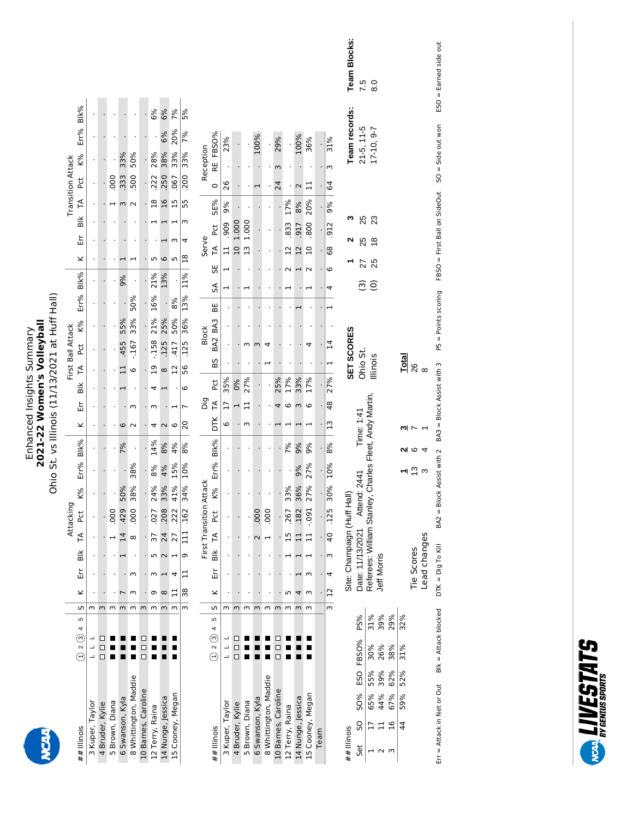# Enhanced Insights Summary<br>**2021-22 Women's Volleyball**<br>Ohio St. vs Illinois (11/13/2021 at Huff Hall) **2021-22 Women's Volleyball** Enhanced Insights Summary

Ohio St. vs Illinois (11/13/2021 at Huff Hall)

|                       |                                    |   |          |           |   |                 | Attacking |     |                 |     |                |    |         |                | First Ball Attack |     |                      |                      |                |                |            | <b>Transition Attack</b> |     |           |    |
|-----------------------|------------------------------------|---|----------|-----------|---|-----------------|-----------|-----|-----------------|-----|----------------|----|---------|----------------|-------------------|-----|----------------------|----------------------|----------------|----------------|------------|--------------------------|-----|-----------|----|
| ## Illinois           | $( ) 2 (3) 4 5   5   K$ Err Blk TA |   |          |           |   |                 | լ<br>Հ    | K%  | $Err%$ Blk% $K$ |     |                | Er |         |                | Blk TA Pct K%     |     | Err% Blk%            |                      |                |                |            | K Err Blk TA Pct K%      |     | Err% Blk% |    |
| 3 Kuper, Taylor       |                                    |   |          |           |   |                 |           |     |                 |     |                |    |         |                |                   |     |                      |                      |                |                |            |                          |     |           |    |
| 4 Bruder, Kylie       |                                    | 3 |          |           |   |                 |           |     |                 |     |                |    |         |                |                   |     |                      |                      |                |                |            |                          |     |           |    |
| 5 Brown, Diana        |                                    | w |          |           |   |                 | 000       |     |                 |     |                |    |         |                |                   |     |                      |                      |                |                | $000$ .    |                          |     |           |    |
| 6 Swanson, Kyla       |                                    | ω |          |           |   |                 | 429       | 50% | ļ               | 7%  |                |    |         |                | .455              | 55% |                      | 9%                   |                |                | 333        |                          | 33% |           |    |
| 8 Whittington, Maddie |                                    | Μ |          |           |   |                 | .000      | 38% | 38%             |     |                |    |         |                | $-167$            | 33% | 50%                  |                      |                |                | 500        |                          | 50% |           |    |
| 10 Barnes, Caroline   |                                    | 3 |          |           |   |                 |           |     |                 |     |                |    |         |                |                   |     | $\ddot{\phantom{0}}$ | $\ddot{\phantom{0}}$ |                |                |            |                          |     |           |    |
| 12 Terry, Raina       |                                    | ω |          |           |   | 77              | .027      | 24% | 8%              | 14% |                |    |         | <u>وړ</u>      | $-158$            | 21% | 16%                  | 21%                  |                | $\frac{8}{10}$ | 222        |                          | 28% |           | 6% |
| 14 Nunge, Jessica     |                                    | ξ | $\infty$ |           |   | $\overline{4}$  | 208       | 33% | 4%              | 8%  |                |    |         |                | .125              | 25% |                      | 13%                  |                |                | $16 \,$    | 250                      | 38% | 6%        | 6% |
| L5 Cooney, Megan      |                                    | m |          |           |   | 27              | .222      | 41% | 15%             | 4%  | 0              |    |         | $\overline{a}$ | 417               | 50% | 8%                   | $\ddot{\cdot}$       |                |                | .067<br>51 |                          | 33% | 20%       | 7% |
|                       |                                    |   |          | 3   38 11 | σ | $\frac{11}{11}$ | .162      | 34% | 10%             | 8%  | $\overline{c}$ |    | $\circ$ | 56             | .125              | 36% | 13%                  | 11%                  | $\frac{8}{18}$ | 55             |            | .200                     | 33% | 7%        | 5% |

|                       |             |   |          |    | First |               | <b>Transition Attack</b> |           |      |      |             | ng<br>TA      |            |    | <b>Block</b> |    |                |    | Serve          |             |         |    | Reception  |
|-----------------------|-------------|---|----------|----|-------|---------------|--------------------------|-----------|------|------|-------------|---------------|------------|----|--------------|----|----------------|----|----------------|-------------|---------|----|------------|
| ## Illinois           | $02045$ S   |   | $\leq$   | È٢ | Blk   | ТA,           | č                        | <b>K%</b> | Err% | Blk% | DTK         |               | <b>PC</b>  | 65 | BA2 BA3      | ₩. | SA             | 56 | FA             | բ<br>հ      | SE%     |    | RE FBSO%   |
| 3 Kuper, Taylor       |             | ω |          |    |       |               |                          |           |      |      |             |               | 35%        |    |              |    |                |    |                | 909         | 9%      | 26 | <b>13%</b> |
| 4 Bruder, Kylie       | ם<br>ם<br>ם | w |          |    |       |               |                          |           |      |      |             |               | ഉ്റ        |    |              |    |                |    |                | 1.000       |         |    |            |
| 5 Brown, Diana        |             | m |          |    |       |               |                          |           |      |      |             |               | 27%        |    |              |    |                |    |                | <b>LOOO</b> |         |    |            |
| 6 Swanson, Kyla       |             | ω |          |    |       |               | 00<br>0                  |           |      |      |             |               |            |    |              |    |                |    |                |             |         |    | 800.       |
| 8 Whittington, Maddie |             | m |          |    |       |               | oo                       |           |      |      |             |               |            |    |              |    |                |    |                |             |         |    |            |
| 10 Barnes, Caroline   | ם<br>ם<br>ם | 3 |          |    |       |               |                          |           |      |      |             |               | <b>25%</b> |    |              |    |                |    |                |             |         | 24 | 29%        |
| 12 Terry, Raina       |             | m |          |    |       |               | 267                      | 33%       |      | १%   |             |               | ን፠         |    |              |    |                |    |                | 833         | L7%     |    |            |
| 14 Nunge, Jessica     |             | ω |          |    |       |               | 182                      | 36%       | 9%   | 9%   |             |               | 33%        |    |              |    |                |    | $\overline{2}$ | 917         | 8%      |    | 100%       |
| 15 Cooney, Megan      |             | m |          |    |       |               | .091                     | 27%       | 27%  | 9%   |             |               | 7%         |    |              |    |                |    |                | 800         | 20%     |    | 36%        |
| Team                  |             |   |          |    |       |               |                          |           |      |      |             |               |            |    |              |    |                |    |                |             |         |    |            |
|                       |             |   | 3   12 4 |    | m     | $\frac{1}{2}$ | <b>125</b>               | 30%       | 10%  | 8%   | $\tilde{L}$ | $\frac{8}{4}$ | 27%        |    |              |    | $\overline{a}$ | C  | 89             | 912         | 9%<br>0 | 64 | 31%        |

| Team Blocks:                |                                                                                                    |                                     |             |                                                                                                                        |             |               |                              |
|-----------------------------|----------------------------------------------------------------------------------------------------|-------------------------------------|-------------|------------------------------------------------------------------------------------------------------------------------|-------------|---------------|------------------------------|
| eam records:                | 7.5                                                                                                | 8.0<br>$21-5, 11-5$<br>$17-10, 9-7$ |             |                                                                                                                        |             |               |                              |
| $\sim$                      | 25                                                                                                 | 25<br>23<br>25 18                   |             |                                                                                                                        |             |               |                              |
| $\overline{a}$              | 27<br>$\widehat{\mathfrak{S}}$                                                                     | $rac{1}{2}$                         |             |                                                                                                                        |             |               |                              |
| SET SCORES                  |                                                                                                    | Ohio St.<br>Illinois                |             |                                                                                                                        | Total<br>26 |               |                              |
| Site: Champaign (Huff Hall) | Date: 11/13/2021 Attend: 2441 Time: 1:41<br>Referees: William Stanley, Charles Fleet, Andy Martin, |                                     |             |                                                                                                                        |             | $\frac{1}{2}$ | $\frac{4}{3}$<br>ead changes |
|                             |                                                                                                    |                                     | Jeff Morris |                                                                                                                        |             | Tie Scores    |                              |
|                             |                                                                                                    |                                     |             |                                                                                                                        |             |               |                              |
|                             |                                                                                                    |                                     |             |                                                                                                                        |             |               |                              |
|                             |                                                                                                    |                                     |             | Set SO SO% ESO FBSO% PS%<br>1 17 65% 55% 30% 31%<br>2 11 44% 39% 26% 39%<br>3 16 67% 62% 38% 29%<br>44 59% 52% 31% 32% |             |               |                              |
|                             |                                                                                                    |                                     |             |                                                                                                                        |             |               |                              |
|                             |                                                                                                    |                                     |             |                                                                                                                        |             |               |                              |
| ## Illinois                 |                                                                                                    |                                     |             |                                                                                                                        |             |               |                              |

SO = Side out won ESO = Earned side out

FBSO = First Ball on SideOut

PS = Points scoring

 $\mathsf{B}\mathsf{lk} = \mathsf{Attack}\,\mathsf{block}$  DTK =  $\mathsf{Dig}$  To  $\mathsf{K}\mathsf{l}\mathsf{l}\mathsf{l}\mathsf{l}\mathsf{S}$  Block Assist with 2  $\mathsf{BAS}$  assist with 3

Err = Attack in Net or Out  $\qquad$  Blk = Attack blocked  $\qquad$  DTK = Dig To Kill

 $Err =$  Attack in Net or Out Blk = Attack blocked DTK = Dig To Kill

**WARD LIVESTATS**